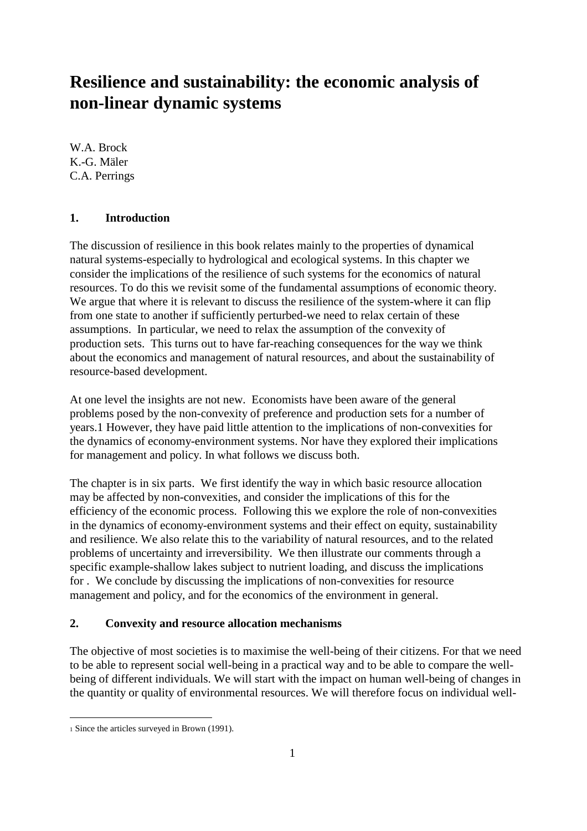# **Resilience and sustainability: the economic analysis of non-linear dynamic systems**

W.A. Brock K.-G. Mäler C.A. Perrings

# **1. Introduction**

The discussion of resilience in this book relates mainly to the properties of dynamical natural systems-especially to hydrological and ecological systems. In this chapter we consider the implications of the resilience of such systems for the economics of natural resources. To do this we revisit some of the fundamental assumptions of economic theory. We argue that where it is relevant to discuss the resilience of the system-where it can flip from one state to another if sufficiently perturbed-we need to relax certain of these assumptions. In particular, we need to relax the assumption of the convexity of production sets. This turns out to have far-reaching consequences for the way we think about the economics and management of natural resources, and about the sustainability of resource-based development.

At one level the insights are not new. Economists have been aware of the general problems posed by the non-convexity of preference and production sets for a number of years.1 However, they have paid little attention to the implications of non-convexities for the dynamics of economy-environment systems. Nor have they explored their implications for management and policy. In what follows we discuss both.

The chapter is in six parts. We first identify the way in which basic resource allocation may be affected by non-convexities, and consider the implications of this for the efficiency of the economic process. Following this we explore the role of non-convexities in the dynamics of economy-environment systems and their effect on equity, sustainability and resilience. We also relate this to the variability of natural resources, and to the related problems of uncertainty and irreversibility. We then illustrate our comments through a specific example-shallow lakes subject to nutrient loading, and discuss the implications for . We conclude by discussing the implications of non-convexities for resource management and policy, and for the economics of the environment in general.

# **2. Convexity and resource allocation mechanisms**

The objective of most societies is to maximise the well-being of their citizens. For that we need to be able to represent social well-being in a practical way and to be able to compare the wellbeing of different individuals. We will start with the impact on human well-being of changes in the quantity or quality of environmental resources. We will therefore focus on individual well-

 $\overline{a}$ 

<sup>1</sup> Since the articles surveyed in Brown (1991).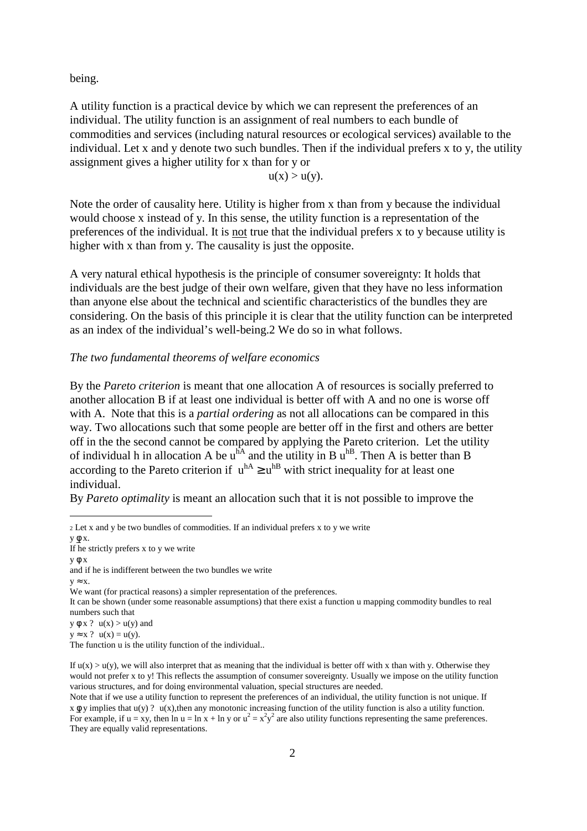being.

 $\overline{a}$ 

A utility function is a practical device by which we can represent the preferences of an individual. The utility function is an assignment of real numbers to each bundle of commodities and services (including natural resources or ecological services) available to the individual. Let x and y denote two such bundles. Then if the individual prefers x to y, the utility assignment gives a higher utility for x than for y or

 $u(x) > u(y)$ .

Note the order of causality here. Utility is higher from x than from y because the individual would choose x instead of y. In this sense, the utility function is a representation of the preferences of the individual. It is not true that the individual prefers x to y because utility is higher with x than from y. The causality is just the opposite.

A very natural ethical hypothesis is the principle of consumer sovereignty: It holds that individuals are the best judge of their own welfare, given that they have no less information than anyone else about the technical and scientific characteristics of the bundles they are considering. On the basis of this principle it is clear that the utility function can be interpreted as an index of the individual's well-being.2 We do so in what follows.

## *The two fundamental theorems of welfare economics*

By the *Pareto criterion* is meant that one allocation A of resources is socially preferred to another allocation B if at least one individual is better off with A and no one is worse off with A. Note that this is a *partial ordering* as not all allocations can be compared in this way. Two allocations such that some people are better off in the first and others are better off in the the second cannot be compared by applying the Pareto criterion. Let the utility of individual h in allocation A be  $u^{hA}$  and the utility in B  $u^{hB}$ . Then A is better than B according to the Pareto criterion if  $u^{hA} \geq u^{hB}$  with strict inequality for at least one individual.

By *Pareto optimality* is meant an allocation such that it is not possible to improve the

<sup>2</sup> Let x and y be two bundles of commodities. If an individual prefers x to y we write  $y \underline{\phi} x$ . If he strictly prefers x to y we write  $v \phi x$ and if he is indifferent between the two bundles we write  $V \approx X$ . We want (for practical reasons) a simpler representation of the preferences. It can be shown (under some reasonable assumptions) that there exist a function u mapping commodity bundles to real numbers such that  $y \phi x$ ?  $u(x) > u(y)$  and  $y \approx x$  ?  $u(x) = u(y)$ . The function u is the utility function of the individual..

If  $u(x) > u(y)$ , we will also interpret that as meaning that the individual is better off with x than with y. Otherwise they would not prefer x to y! This reflects the assumption of consumer sovereignty. Usually we impose on the utility function various structures, and for doing environmental valuation, special structures are needed.

Note that if we use a utility function to represent the preferences of an individual, the utility function is not unique. If x  $\phi$  y implies that u(y) ? u(x), then any monotonic increasing function of the utility function is also a utility function. For example, if  $u = xy$ , then  $\ln u = \ln x + \ln y$  or  $u^2 = x^2y^2$  are also utility functions representing the same preferences. They are equally valid representations.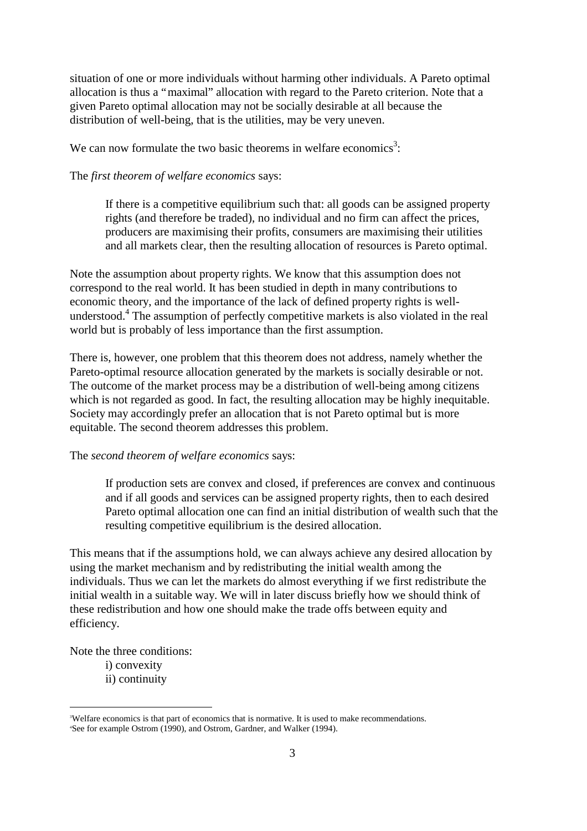situation of one or more individuals without harming other individuals. A Pareto optimal allocation is thus a "maximal" allocation with regard to the Pareto criterion. Note that a given Pareto optimal allocation may not be socially desirable at all because the distribution of well-being, that is the utilities, may be very uneven.

We can now formulate the two basic theorems in welfare economics<sup>3</sup>:

## The *first theorem of welfare economics* says:

If there is a competitive equilibrium such that: all goods can be assigned property rights (and therefore be traded), no individual and no firm can affect the prices, producers are maximising their profits, consumers are maximising their utilities and all markets clear, then the resulting allocation of resources is Pareto optimal.

Note the assumption about property rights. We know that this assumption does not correspond to the real world. It has been studied in depth in many contributions to economic theory, and the importance of the lack of defined property rights is wellunderstood.<sup>4</sup> The assumption of perfectly competitive markets is also violated in the real world but is probably of less importance than the first assumption.

There is, however, one problem that this theorem does not address, namely whether the Pareto-optimal resource allocation generated by the markets is socially desirable or not. The outcome of the market process may be a distribution of well-being among citizens which is not regarded as good. In fact, the resulting allocation may be highly inequitable. Society may accordingly prefer an allocation that is not Pareto optimal but is more equitable. The second theorem addresses this problem.

## The *second theorem of welfare economics* says:

If production sets are convex and closed, if preferences are convex and continuous and if all goods and services can be assigned property rights, then to each desired Pareto optimal allocation one can find an initial distribution of wealth such that the resulting competitive equilibrium is the desired allocation.

This means that if the assumptions hold, we can always achieve any desired allocation by using the market mechanism and by redistributing the initial wealth among the individuals. Thus we can let the markets do almost everything if we first redistribute the initial wealth in a suitable way. We will in later discuss briefly how we should think of these redistribution and how one should make the trade offs between equity and efficiency.

Note the three conditions:

 $\overline{a}$ 

i) convexity ii) continuity

<sup>&</sup>lt;sup>3</sup>Welfare economics is that part of economics that is normative. It is used to make recommendations. 4See for example Ostrom (1990), and Ostrom, Gardner, and Walker (1994).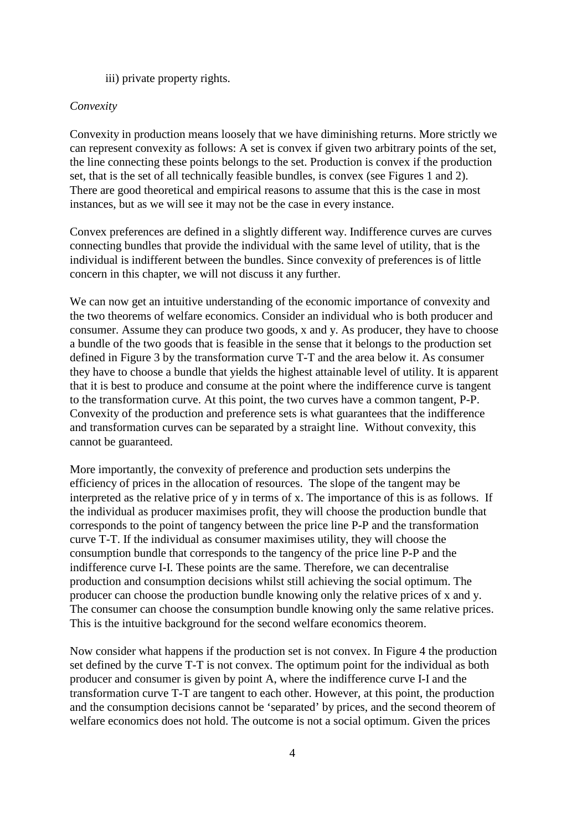iii) private property rights.

## *Convexity*

Convexity in production means loosely that we have diminishing returns. More strictly we can represent convexity as follows: A set is convex if given two arbitrary points of the set, the line connecting these points belongs to the set. Production is convex if the production set, that is the set of all technically feasible bundles, is convex (see Figures 1 and 2). There are good theoretical and empirical reasons to assume that this is the case in most instances, but as we will see it may not be the case in every instance.

Convex preferences are defined in a slightly different way. Indifference curves are curves connecting bundles that provide the individual with the same level of utility, that is the individual is indifferent between the bundles. Since convexity of preferences is of little concern in this chapter, we will not discuss it any further.

We can now get an intuitive understanding of the economic importance of convexity and the two theorems of welfare economics. Consider an individual who is both producer and consumer. Assume they can produce two goods, x and y. As producer, they have to choose a bundle of the two goods that is feasible in the sense that it belongs to the production set defined in Figure 3 by the transformation curve T-T and the area below it. As consumer they have to choose a bundle that yields the highest attainable level of utility. It is apparent that it is best to produce and consume at the point where the indifference curve is tangent to the transformation curve. At this point, the two curves have a common tangent, P-P. Convexity of the production and preference sets is what guarantees that the indifference and transformation curves can be separated by a straight line. Without convexity, this cannot be guaranteed.

More importantly, the convexity of preference and production sets underpins the efficiency of prices in the allocation of resources. The slope of the tangent may be interpreted as the relative price of y in terms of x. The importance of this is as follows. If the individual as producer maximises profit, they will choose the production bundle that corresponds to the point of tangency between the price line P-P and the transformation curve T-T. If the individual as consumer maximises utility, they will choose the consumption bundle that corresponds to the tangency of the price line P-P and the indifference curve I-I. These points are the same. Therefore, we can decentralise production and consumption decisions whilst still achieving the social optimum. The producer can choose the production bundle knowing only the relative prices of x and y. The consumer can choose the consumption bundle knowing only the same relative prices. This is the intuitive background for the second welfare economics theorem.

Now consider what happens if the production set is not convex. In Figure 4 the production set defined by the curve T-T is not convex. The optimum point for the individual as both producer and consumer is given by point A, where the indifference curve I-I and the transformation curve T-T are tangent to each other. However, at this point, the production and the consumption decisions cannot be 'separated' by prices, and the second theorem of welfare economics does not hold. The outcome is not a social optimum. Given the prices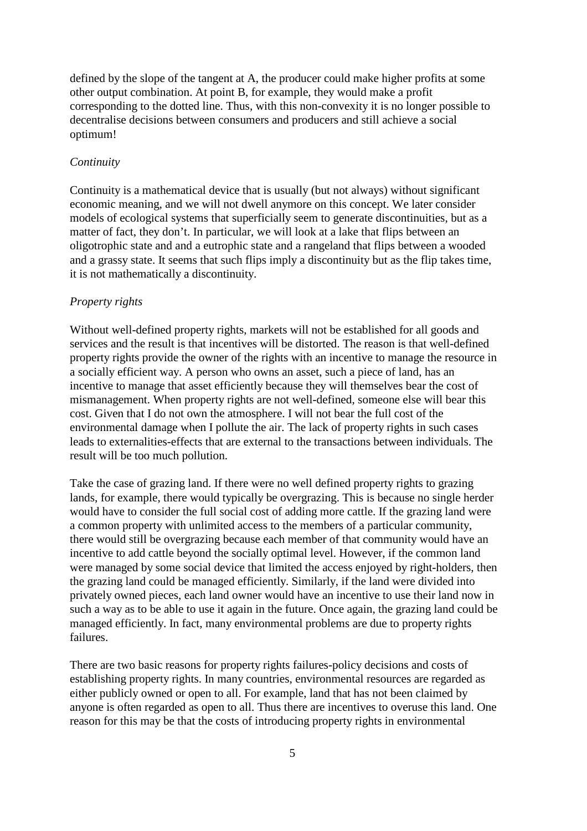defined by the slope of the tangent at A, the producer could make higher profits at some other output combination. At point B, for example, they would make a profit corresponding to the dotted line. Thus, with this non-convexity it is no longer possible to decentralise decisions between consumers and producers and still achieve a social optimum!

# *Continuity*

Continuity is a mathematical device that is usually (but not always) without significant economic meaning, and we will not dwell anymore on this concept. We later consider models of ecological systems that superficially seem to generate discontinuities, but as a matter of fact, they don't. In particular, we will look at a lake that flips between an oligotrophic state and and a eutrophic state and a rangeland that flips between a wooded and a grassy state. It seems that such flips imply a discontinuity but as the flip takes time, it is not mathematically a discontinuity.

## *Property rights*

Without well-defined property rights, markets will not be established for all goods and services and the result is that incentives will be distorted. The reason is that well-defined property rights provide the owner of the rights with an incentive to manage the resource in a socially efficient way. A person who owns an asset, such a piece of land, has an incentive to manage that asset efficiently because they will themselves bear the cost of mismanagement. When property rights are not well-defined, someone else will bear this cost. Given that I do not own the atmosphere. I will not bear the full cost of the environmental damage when I pollute the air. The lack of property rights in such cases leads to externalities-effects that are external to the transactions between individuals. The result will be too much pollution.

Take the case of grazing land. If there were no well defined property rights to grazing lands, for example, there would typically be overgrazing. This is because no single herder would have to consider the full social cost of adding more cattle. If the grazing land were a common property with unlimited access to the members of a particular community, there would still be overgrazing because each member of that community would have an incentive to add cattle beyond the socially optimal level. However, if the common land were managed by some social device that limited the access enjoyed by right-holders, then the grazing land could be managed efficiently. Similarly, if the land were divided into privately owned pieces, each land owner would have an incentive to use their land now in such a way as to be able to use it again in the future. Once again, the grazing land could be managed efficiently. In fact, many environmental problems are due to property rights failures.

There are two basic reasons for property rights failures-policy decisions and costs of establishing property rights. In many countries, environmental resources are regarded as either publicly owned or open to all. For example, land that has not been claimed by anyone is often regarded as open to all. Thus there are incentives to overuse this land. One reason for this may be that the costs of introducing property rights in environmental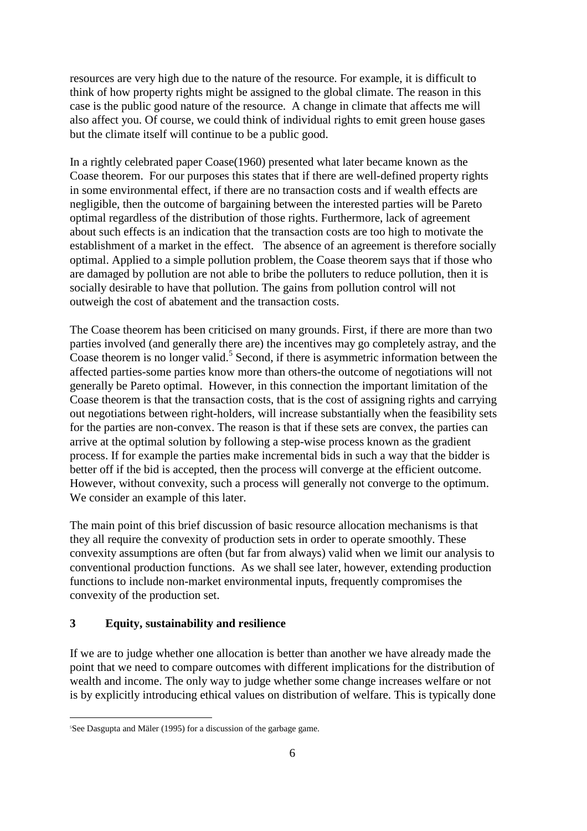resources are very high due to the nature of the resource. For example, it is difficult to think of how property rights might be assigned to the global climate. The reason in this case is the public good nature of the resource. A change in climate that affects me will also affect you. Of course, we could think of individual rights to emit green house gases but the climate itself will continue to be a public good.

In a rightly celebrated paper Coase(1960) presented what later became known as the Coase theorem. For our purposes this states that if there are well-defined property rights in some environmental effect, if there are no transaction costs and if wealth effects are negligible, then the outcome of bargaining between the interested parties will be Pareto optimal regardless of the distribution of those rights. Furthermore, lack of agreement about such effects is an indication that the transaction costs are too high to motivate the establishment of a market in the effect. The absence of an agreement is therefore socially optimal. Applied to a simple pollution problem, the Coase theorem says that if those who are damaged by pollution are not able to bribe the polluters to reduce pollution, then it is socially desirable to have that pollution. The gains from pollution control will not outweigh the cost of abatement and the transaction costs.

The Coase theorem has been criticised on many grounds. First, if there are more than two parties involved (and generally there are) the incentives may go completely astray, and the Coase theorem is no longer valid.<sup>5</sup> Second, if there is asymmetric information between the affected parties-some parties know more than others-the outcome of negotiations will not generally be Pareto optimal. However, in this connection the important limitation of the Coase theorem is that the transaction costs, that is the cost of assigning rights and carrying out negotiations between right-holders, will increase substantially when the feasibility sets for the parties are non-convex. The reason is that if these sets are convex, the parties can arrive at the optimal solution by following a step-wise process known as the gradient process. If for example the parties make incremental bids in such a way that the bidder is better off if the bid is accepted, then the process will converge at the efficient outcome. However, without convexity, such a process will generally not converge to the optimum. We consider an example of this later.

The main point of this brief discussion of basic resource allocation mechanisms is that they all require the convexity of production sets in order to operate smoothly. These convexity assumptions are often (but far from always) valid when we limit our analysis to conventional production functions. As we shall see later, however, extending production functions to include non-market environmental inputs, frequently compromises the convexity of the production set.

## **3 Equity, sustainability and resilience**

 $\overline{a}$ 

If we are to judge whether one allocation is better than another we have already made the point that we need to compare outcomes with different implications for the distribution of wealth and income. The only way to judge whether some change increases welfare or not is by explicitly introducing ethical values on distribution of welfare. This is typically done

<sup>5</sup>See Dasgupta and Mäler (1995) for a discussion of the garbage game.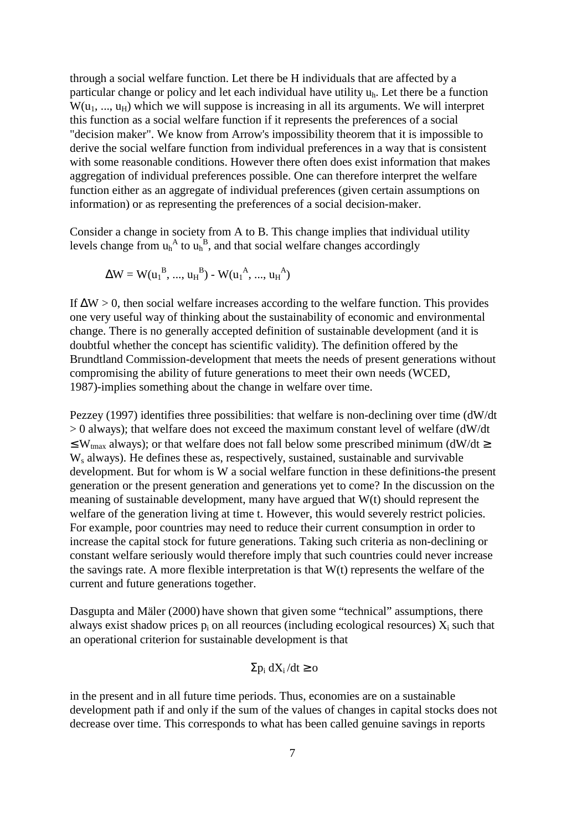through a social welfare function. Let there be H individuals that are affected by a particular change or policy and let each individual have utility uh. Let there be a function  $W(u_1, ..., u_H)$  which we will suppose is increasing in all its arguments. We will interpret this function as a social welfare function if it represents the preferences of a social "decision maker". We know from Arrow's impossibility theorem that it is impossible to derive the social welfare function from individual preferences in a way that is consistent with some reasonable conditions. However there often does exist information that makes aggregation of individual preferences possible. One can therefore interpret the welfare function either as an aggregate of individual preferences (given certain assumptions on information) or as representing the preferences of a social decision-maker.

Consider a change in society from A to B. This change implies that individual utility levels change from  $u_h^A$  to  $u_h^B$ , and that social welfare changes accordingly

$$
\Delta W = W(u_1^{B}, ..., u_H^{B}) - W(u_1^{A}, ..., u_H^{A})
$$

If  $\Delta W > 0$ , then social welfare increases according to the welfare function. This provides one very useful way of thinking about the sustainability of economic and environmental change. There is no generally accepted definition of sustainable development (and it is doubtful whether the concept has scientific validity). The definition offered by the Brundtland Commission-development that meets the needs of present generations without compromising the ability of future generations to meet their own needs (WCED, 1987)-implies something about the change in welfare over time.

Pezzey (1997) identifies three possibilities: that welfare is non-declining over time (dW/dt > 0 always); that welfare does not exceed the maximum constant level of welfare (dW/dt  $\leq W_{\text{tmax}}$  always); or that welfare does not fall below some prescribed minimum (dW/dt  $\geq$ W<sup>s</sup> always). He defines these as, respectively, sustained, sustainable and survivable development. But for whom is W a social welfare function in these definitions-the present generation or the present generation and generations yet to come? In the discussion on the meaning of sustainable development, many have argued that W(t) should represent the welfare of the generation living at time t. However, this would severely restrict policies. For example, poor countries may need to reduce their current consumption in order to increase the capital stock for future generations. Taking such criteria as non-declining or constant welfare seriously would therefore imply that such countries could never increase the savings rate. A more flexible interpretation is that W(t) represents the welfare of the current and future generations together.

Dasgupta and Mäler (2000) have shown that given some "technical" assumptions, there always exist shadow prices  $p_i$  on all reources (including ecological resources)  $X_i$  such that an operational criterion for sustainable development is that

$$
\Sigma p_i\;dX_i/dt\geq o
$$

in the present and in all future time periods. Thus, economies are on a sustainable development path if and only if the sum of the values of changes in capital stocks does not decrease over time. This corresponds to what has been called genuine savings in reports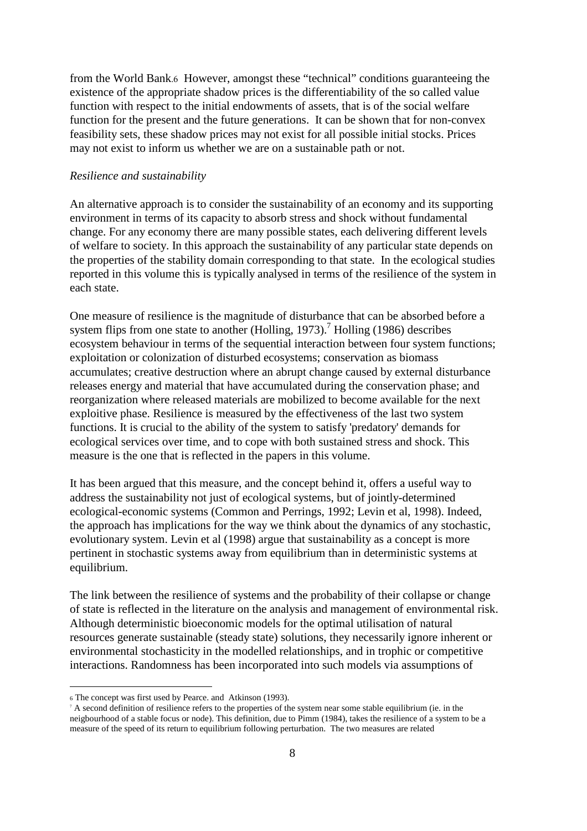from the World Bank.6 However, amongst these "technical" conditions guaranteeing the existence of the appropriate shadow prices is the differentiability of the so called value function with respect to the initial endowments of assets, that is of the social welfare function for the present and the future generations. It can be shown that for non-convex feasibility sets, these shadow prices may not exist for all possible initial stocks. Prices may not exist to inform us whether we are on a sustainable path or not.

#### *Resilience and sustainability*

An alternative approach is to consider the sustainability of an economy and its supporting environment in terms of its capacity to absorb stress and shock without fundamental change. For any economy there are many possible states, each delivering different levels of welfare to society. In this approach the sustainability of any particular state depends on the properties of the stability domain corresponding to that state. In the ecological studies reported in this volume this is typically analysed in terms of the resilience of the system in each state.

One measure of resilience is the magnitude of disturbance that can be absorbed before a system flips from one state to another (Holling,  $1973$ ).<sup>7</sup> Holling (1986) describes ecosystem behaviour in terms of the sequential interaction between four system functions; exploitation or colonization of disturbed ecosystems; conservation as biomass accumulates; creative destruction where an abrupt change caused by external disturbance releases energy and material that have accumulated during the conservation phase; and reorganization where released materials are mobilized to become available for the next exploitive phase. Resilience is measured by the effectiveness of the last two system functions. It is crucial to the ability of the system to satisfy 'predatory' demands for ecological services over time, and to cope with both sustained stress and shock. This measure is the one that is reflected in the papers in this volume.

It has been argued that this measure, and the concept behind it, offers a useful way to address the sustainability not just of ecological systems, but of jointly-determined ecological-economic systems (Common and Perrings, 1992; Levin et al, 1998). Indeed, the approach has implications for the way we think about the dynamics of any stochastic, evolutionary system. Levin et al (1998) argue that sustainability as a concept is more pertinent in stochastic systems away from equilibrium than in deterministic systems at equilibrium.

The link between the resilience of systems and the probability of their collapse or change of state is reflected in the literature on the analysis and management of environmental risk. Although deterministic bioeconomic models for the optimal utilisation of natural resources generate sustainable (steady state) solutions, they necessarily ignore inherent or environmental stochasticity in the modelled relationships, and in trophic or competitive interactions. Randomness has been incorporated into such models via assumptions of

 $\overline{a}$ 

<sup>6</sup> The concept was first used by Pearce. and Atkinson (1993).

<sup>7</sup> A second definition of resilience refers to the properties of the system near some stable equilibrium (ie. in the neigbourhood of a stable focus or node). This definition, due to Pimm (1984), takes the resilience of a system to be a measure of the speed of its return to equilibrium following perturbation. The two measures are related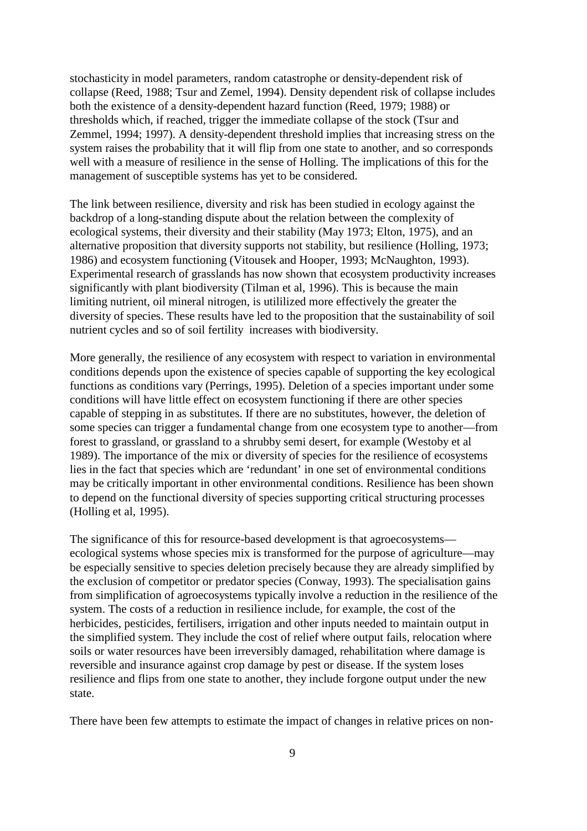stochasticity in model parameters, random catastrophe or density-dependent risk of collapse (Reed, 1988; Tsur and Zemel, 1994). Density dependent risk of collapse includes both the existence of a density-dependent hazard function (Reed, 1979; 1988) or thresholds which, if reached, trigger the immediate collapse of the stock (Tsur and Zemmel, 1994; 1997). A density-dependent threshold implies that increasing stress on the system raises the probability that it will flip from one state to another, and so corresponds well with a measure of resilience in the sense of Holling. The implications of this for the management of susceptible systems has yet to be considered.

The link between resilience, diversity and risk has been studied in ecology against the backdrop of a long-standing dispute about the relation between the complexity of ecological systems, their diversity and their stability (May 1973; Elton, 1975), and an alternative proposition that diversity supports not stability, but resilience (Holling, 1973; 1986) and ecosystem functioning (Vitousek and Hooper, 1993; McNaughton, 1993). Experimental research of grasslands has now shown that ecosystem productivity increases significantly with plant biodiversity (Tilman et al, 1996). This is because the main limiting nutrient, oil mineral nitrogen, is utililized more effectively the greater the diversity of species. These results have led to the proposition that the sustainability of soil nutrient cycles and so of soil fertility increases with biodiversity.

More generally, the resilience of any ecosystem with respect to variation in environmental conditions depends upon the existence of species capable of supporting the key ecological functions as conditions vary (Perrings, 1995). Deletion of a species important under some conditions will have little effect on ecosystem functioning if there are other species capable of stepping in as substitutes. If there are no substitutes, however, the deletion of some species can trigger a fundamental change from one ecosystem type to another— from forest to grassland, or grassland to a shrubby semi desert, for example (Westoby et al 1989). The importance of the mix or diversity of species for the resilience of ecosystems lies in the fact that species which are 'redundant' in one set of environmental conditions may be critically important in other environmental conditions. Resilience has been shown to depend on the functional diversity of species supporting critical structuring processes (Holling et al, 1995).

The significance of this for resource-based development is that agroecosystems ecological systems whose species mix is transformed for the purpose of agriculture— may be especially sensitive to species deletion precisely because they are already simplified by the exclusion of competitor or predator species (Conway, 1993). The specialisation gains from simplification of agroecosystems typically involve a reduction in the resilience of the system. The costs of a reduction in resilience include, for example, the cost of the herbicides, pesticides, fertilisers, irrigation and other inputs needed to maintain output in the simplified system. They include the cost of relief where output fails, relocation where soils or water resources have been irreversibly damaged, rehabilitation where damage is reversible and insurance against crop damage by pest or disease. If the system loses resilience and flips from one state to another, they include forgone output under the new state.

There have been few attempts to estimate the impact of changes in relative prices on non-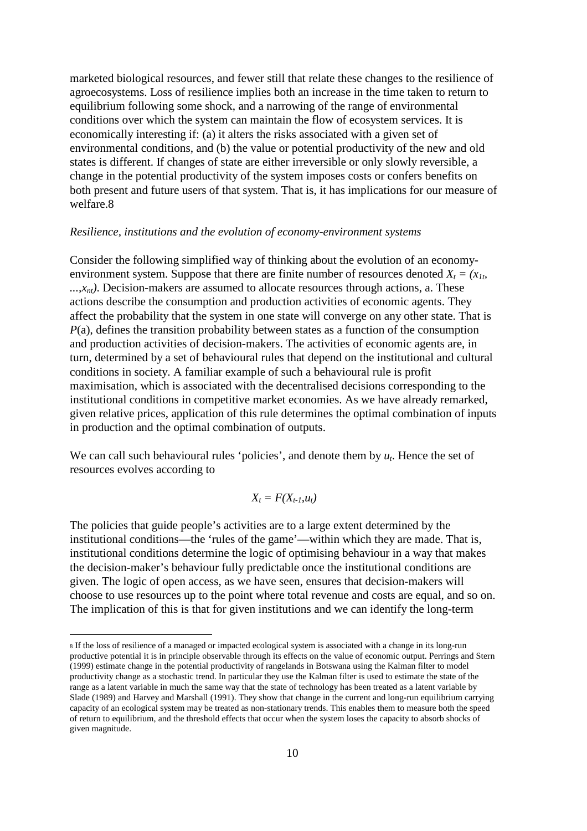marketed biological resources, and fewer still that relate these changes to the resilience of agroecosystems. Loss of resilience implies both an increase in the time taken to return to equilibrium following some shock, and a narrowing of the range of environmental conditions over which the system can maintain the flow of ecosystem services. It is economically interesting if: (a) it alters the risks associated with a given set of environmental conditions, and (b) the value or potential productivity of the new and old states is different. If changes of state are either irreversible or only slowly reversible, a change in the potential productivity of the system imposes costs or confers benefits on both present and future users of that system. That is, it has implications for our measure of welfare.8

#### *Resilience, institutions and the evolution of economy-environment systems*

Consider the following simplified way of thinking about the evolution of an economyenvironment system. Suppose that there are finite number of resources denoted  $X_t = (x_{1t}$ *...,xnt)*. Decision-makers are assumed to allocate resources through actions, a. These actions describe the consumption and production activities of economic agents. They affect the probability that the system in one state will converge on any other state. That is *P*(a), defines the transition probability between states as a function of the consumption and production activities of decision-makers. The activities of economic agents are, in turn, determined by a set of behavioural rules that depend on the institutional and cultural conditions in society. A familiar example of such a behavioural rule is profit maximisation, which is associated with the decentralised decisions corresponding to the institutional conditions in competitive market economies. As we have already remarked, given relative prices, application of this rule determines the optimal combination of inputs in production and the optimal combination of outputs.

We can call such behavioural rules 'policies', and denote them by  $u_t$ . Hence the set of resources evolves according to

$$
X_t = F(X_{t-1}, u_t)
$$

The policies that guide people's activities are to a large extent determined by the institutional conditions— the 'rules of the game'— within which they are made. That is, institutional conditions determine the logic of optimising behaviour in a way that makes the decision-maker's behaviour fully predictable once the institutional conditions are given. The logic of open access, as we have seen, ensures that decision-makers will choose to use resources up to the point where total revenue and costs are equal, and so on. The implication of this is that for given institutions and we can identify the long-term

 $\overline{a}$ 

<sup>8</sup> If the loss of resilience of a managed or impacted ecological system is associated with a change in its long-run productive potential it is in principle observable through its effects on the value of economic output. Perrings and Stern (1999) estimate change in the potential productivity of rangelands in Botswana using the Kalman filter to model productivity change as a stochastic trend. In particular they use the Kalman filter is used to estimate the state of the range as a latent variable in much the same way that the state of technology has been treated as a latent variable by Slade (1989) and Harvey and Marshall (1991). They show that change in the current and long-run equilibrium carrying capacity of an ecological system may be treated as non-stationary trends. This enables them to measure both the speed of return to equilibrium, and the threshold effects that occur when the system loses the capacity to absorb shocks of given magnitude.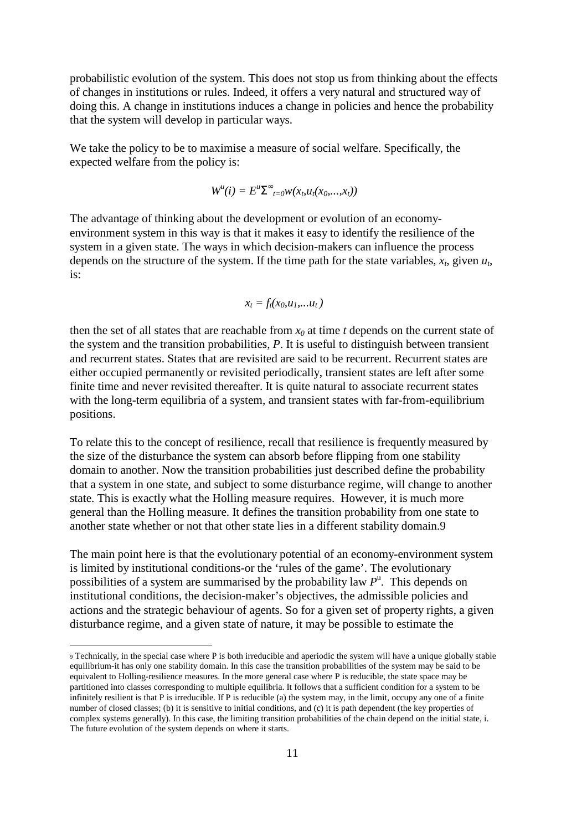probabilistic evolution of the system. This does not stop us from thinking about the effects of changes in institutions or rules. Indeed, it offers a very natural and structured way of doing this. A change in institutions induces a change in policies and hence the probability that the system will develop in particular ways.

We take the policy to be to maximise a measure of social welfare. Specifically, the expected welfare from the policy is:

$$
W^{u}(i) = E^{u} \mathbf{S}_{t=0}^{H} w(x_t, u_t(x_0, \ldots, x_t))
$$

The advantage of thinking about the development or evolution of an economyenvironment system in this way is that it makes it easy to identify the resilience of the system in a given state. The ways in which decision-makers can influence the process depends on the structure of the system. If the time path for the state variables,  $x_t$ , given  $u_t$ , is:

$$
x_t = f_t(x_0, u_1, \ldots u_t)
$$

then the set of all states that are reachable from  $x_0$  at time *t* depends on the current state of the system and the transition probabilities, *P*. It is useful to distinguish between transient and recurrent states. States that are revisited are said to be recurrent. Recurrent states are either occupied permanently or revisited periodically, transient states are left after some finite time and never revisited thereafter. It is quite natural to associate recurrent states with the long-term equilibria of a system, and transient states with far-from-equilibrium positions.

To relate this to the concept of resilience, recall that resilience is frequently measured by the size of the disturbance the system can absorb before flipping from one stability domain to another. Now the transition probabilities just described define the probability that a system in one state, and subject to some disturbance regime, will change to another state. This is exactly what the Holling measure requires. However, it is much more general than the Holling measure. It defines the transition probability from one state to another state whether or not that other state lies in a different stability domain.9

The main point here is that the evolutionary potential of an economy-environment system is limited by institutional conditions-or the 'rules of the game'. The evolutionary possibilities of a system are summarised by the probability law  $P^{\text{u}}$ . This depends on institutional conditions, the decision-maker's objectives, the admissible policies and actions and the strategic behaviour of agents. So for a given set of property rights, a given disturbance regime, and a given state of nature, it may be possible to estimate the

 $\overline{a}$ 

<sup>9</sup> Technically, in the special case where P is both irreducible and aperiodic the system will have a unique globally stable equilibrium-it has only one stability domain. In this case the transition probabilities of the system may be said to be equivalent to Holling-resilience measures. In the more general case where P is reducible, the state space may be partitioned into classes corresponding to multiple equilibria. It follows that a sufficient condition for a system to be infinitely resilient is that P is irreducible. If P is reducible (a) the system may, in the limit, occupy any one of a finite number of closed classes; (b) it is sensitive to initial conditions, and (c) it is path dependent (the key properties of complex systems generally). In this case, the limiting transition probabilities of the chain depend on the initial state, i. The future evolution of the system depends on where it starts.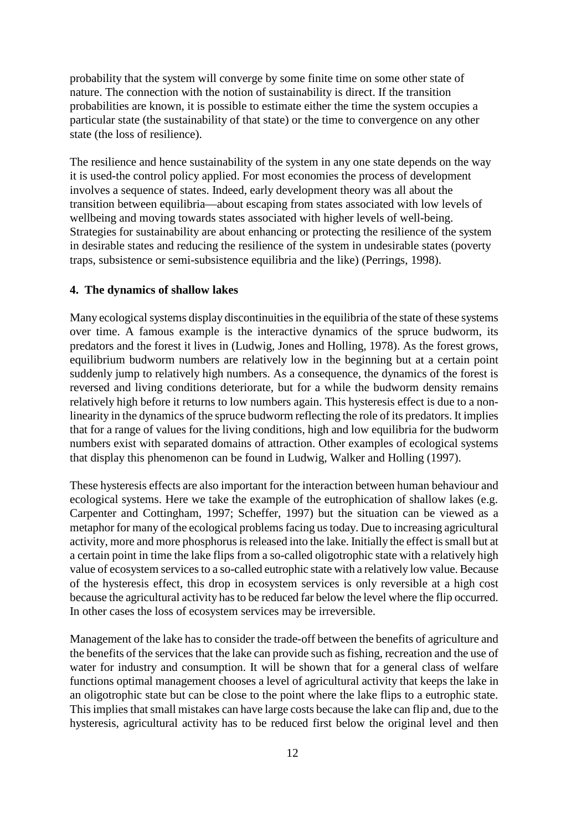probability that the system will converge by some finite time on some other state of nature. The connection with the notion of sustainability is direct. If the transition probabilities are known, it is possible to estimate either the time the system occupies a particular state (the sustainability of that state) or the time to convergence on any other state (the loss of resilience).

The resilience and hence sustainability of the system in any one state depends on the way it is used-the control policy applied. For most economies the process of development involves a sequence of states. Indeed, early development theory was all about the transition between equilibria— about escaping from states associated with low levels of wellbeing and moving towards states associated with higher levels of well-being. Strategies for sustainability are about enhancing or protecting the resilience of the system in desirable states and reducing the resilience of the system in undesirable states (poverty traps, subsistence or semi-subsistence equilibria and the like) (Perrings, 1998).

#### **4. The dynamics of shallow lakes**

Many ecological systems display discontinuities in the equilibria of the state of these systems over time. A famous example is the interactive dynamics of the spruce budworm, its predators and the forest it lives in (Ludwig, Jones and Holling, 1978). As the forest grows, equilibrium budworm numbers are relatively low in the beginning but at a certain point suddenly jump to relatively high numbers. As a consequence, the dynamics of the forest is reversed and living conditions deteriorate, but for a while the budworm density remains relatively high before it returns to low numbers again. This hysteresis effect is due to a nonlinearity in the dynamics of the spruce budworm reflecting the role of its predators. It implies that for a range of values for the living conditions, high and low equilibria for the budworm numbers exist with separated domains of attraction. Other examples of ecological systems that display this phenomenon can be found in Ludwig, Walker and Holling (1997).

These hysteresis effects are also important for the interaction between human behaviour and ecological systems. Here we take the example of the eutrophication of shallow lakes (e.g. Carpenter and Cottingham, 1997; Scheffer, 1997) but the situation can be viewed as a metaphor for many of the ecological problems facing us today. Due to increasing agricultural activity, more and more phosphorus is released into the lake. Initially the effect is small but at a certain point in time the lake flips from a so-called oligotrophic state with a relatively high value of ecosystem services to a so-called eutrophic state with a relatively low value. Because of the hysteresis effect, this drop in ecosystem services is only reversible at a high cost because the agricultural activity has to be reduced far below the level where the flip occurred. In other cases the loss of ecosystem services may be irreversible.

Management of the lake has to consider the trade-off between the benefits of agriculture and the benefits of the services that the lake can provide such as fishing, recreation and the use of water for industry and consumption. It will be shown that for a general class of welfare functions optimal management chooses a level of agricultural activity that keeps the lake in an oligotrophic state but can be close to the point where the lake flips to a eutrophic state. This implies that small mistakes can have large costs because the lake can flip and, due to the hysteresis, agricultural activity has to be reduced first below the original level and then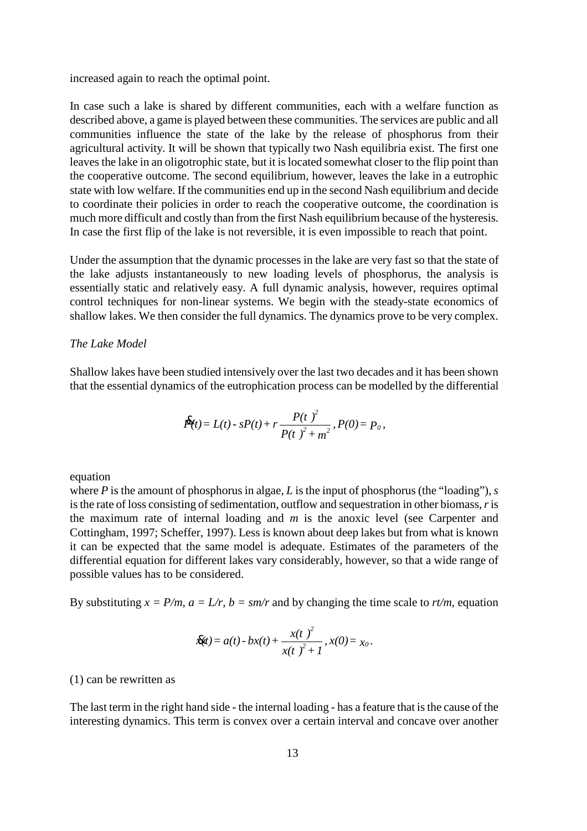increased again to reach the optimal point.

In case such a lake is shared by different communities, each with a welfare function as described above, a game is played between these communities. The services are public and all communities influence the state of the lake by the release of phosphorus from their agricultural activity. It will be shown that typically two Nash equilibria exist. The first one leaves the lake in an oligotrophic state, but it is located somewhat closer to the flip point than the cooperative outcome. The second equilibrium, however, leaves the lake in a eutrophic state with low welfare. If the communities end up in the second Nash equilibrium and decide to coordinate their policies in order to reach the cooperative outcome, the coordination is much more difficult and costly than from the first Nash equilibrium because of the hysteresis. In case the first flip of the lake is not reversible, it is even impossible to reach that point.

Under the assumption that the dynamic processes in the lake are very fast so that the state of the lake adjusts instantaneously to new loading levels of phosphorus, the analysis is essentially static and relatively easy. A full dynamic analysis, however, requires optimal control techniques for non-linear systems. We begin with the steady-state economics of shallow lakes. We then consider the full dynamics. The dynamics prove to be very complex.

# *The Lake Model*

Shallow lakes have been studied intensively over the last two decades and it has been shown that the essential dynamics of the eutrophication process can be modelled by the differential

$$
\mathbf{P}(t) = L(t) - sP(t) + r \frac{P(t)^{2}}{P(t)^{2} + m^{2}}, P(0) = P_{0},
$$

equation

where *P* is the amount of phosphorus in algae, *L* is the input of phosphorus (the "loading"), *s* is the rate of loss consisting of sedimentation, outflow and sequestration in other biomass,*r* is the maximum rate of internal loading and *m* is the anoxic level (see Carpenter and Cottingham, 1997; Scheffer, 1997). Less is known about deep lakes but from what is known it can be expected that the same model is adequate. Estimates of the parameters of the differential equation for different lakes vary considerably, however, so that a wide range of possible values has to be considered.

By substituting  $x = P/m$ ,  $a = L/r$ ,  $b = sm/r$  and by changing the time scale to  $rt/m$ , equation

$$
\mathbf{x}(t) = a(t) - bx(t) + \frac{x(t)^2}{x(t)^2 + 1}, \, x(0) = x_0.
$$

## (1) can be rewritten as

The last term in the right hand side - the internal loading - has a feature that is the cause of the interesting dynamics. This term is convex over a certain interval and concave over another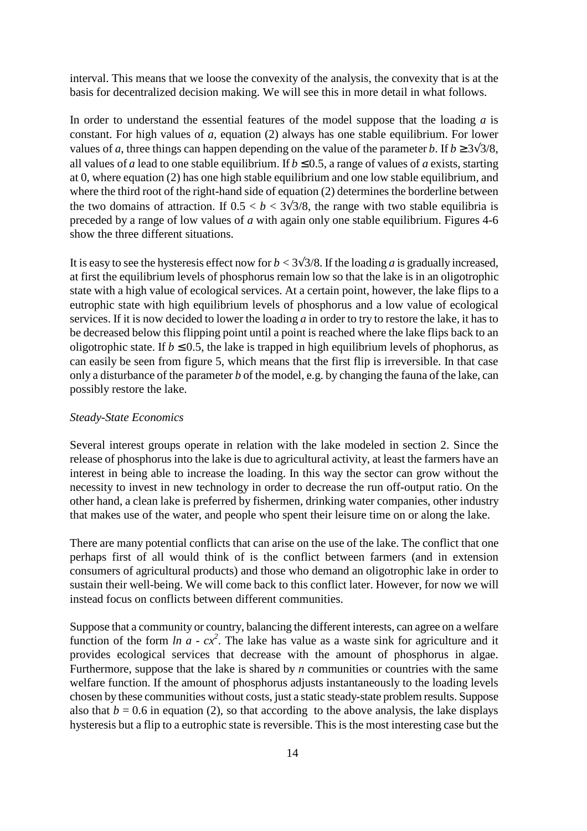interval. This means that we loose the convexity of the analysis, the convexity that is at the basis for decentralized decision making. We will see this in more detail in what follows.

In order to understand the essential features of the model suppose that the loading *a* is constant. For high values of *a,* equation (2) always has one stable equilibrium. For lower values of *a*, three things can happen depending on the value of the parameter *b*. If  $b \ge 3\sqrt{3}/8$ , all values of *a* lead to one stable equilibrium. If  $b \le 0.5$ , a range of values of *a* exists, starting at 0, where equation (2) has one high stable equilibrium and one low stable equilibrium, and where the third root of the right-hand side of equation (2) determines the borderline between the two domains of attraction. If  $0.5 < b < 3\sqrt{3}/8$ , the range with two stable equilibria is preceded by a range of low values of *a* with again only one stable equilibrium. Figures 4-6 show the three different situations.

It is easy to see the hysteresis effect now for  $b < 3\sqrt{3}/8$ . If the loading *a* is gradually increased, at first the equilibrium levels of phosphorus remain low so that the lake is in an oligotrophic state with a high value of ecological services. At a certain point, however, the lake flips to a eutrophic state with high equilibrium levels of phosphorus and a low value of ecological services. If it is now decided to lower the loading *a* in order to try to restore the lake, it has to be decreased below this flipping point until a point is reached where the lake flips back to an oligotrophic state. If  $b \le 0.5$ , the lake is trapped in high equilibrium levels of phophorus, as can easily be seen from figure 5, which means that the first flip is irreversible. In that case only a disturbance of the parameter *b* of the model, e.g. by changing the fauna of the lake, can possibly restore the lake.

#### *Steady-State Economics*

Several interest groups operate in relation with the lake modeled in section 2. Since the release of phosphorus into the lake is due to agricultural activity, at least the farmers have an interest in being able to increase the loading. In this way the sector can grow without the necessity to invest in new technology in order to decrease the run off-output ratio. On the other hand, a clean lake is preferred by fishermen, drinking water companies, other industry that makes use of the water, and people who spent their leisure time on or along the lake.

There are many potential conflicts that can arise on the use of the lake. The conflict that one perhaps first of all would think of is the conflict between farmers (and in extension consumers of agricultural products) and those who demand an oligotrophic lake in order to sustain their well-being. We will come back to this conflict later. However, for now we will instead focus on conflicts between different communities.

Suppose that a community or country, balancing the different interests, can agree on a welfare function of the form  $ln a - cx^2$ . The lake has value as a waste sink for agriculture and it provides ecological services that decrease with the amount of phosphorus in algae. Furthermore, suppose that the lake is shared by *n* communities or countries with the same welfare function. If the amount of phosphorus adjusts instantaneously to the loading levels chosen by these communities without costs, just a static steady-state problem results. Suppose also that  $b = 0.6$  in equation (2), so that according to the above analysis, the lake displays hysteresis but a flip to a eutrophic state is reversible. This is the most interesting case but the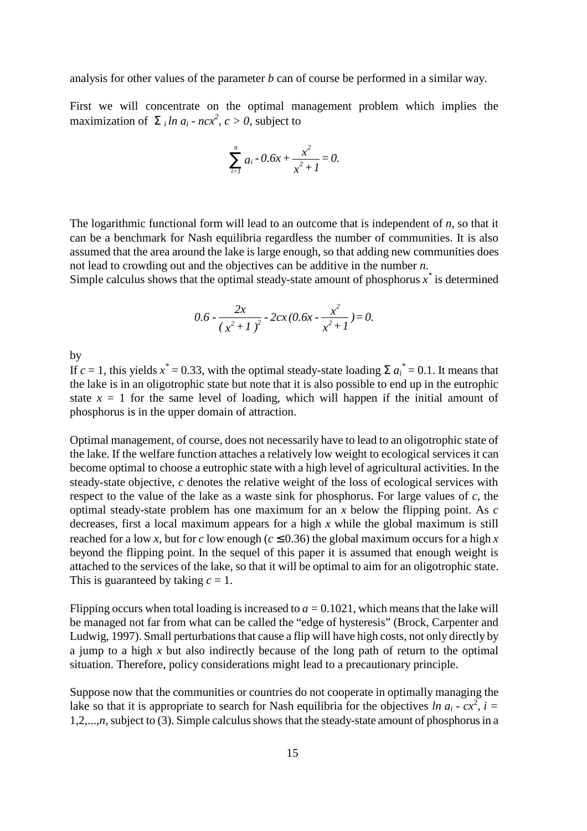analysis for other values of the parameter *b* can of course be performed in a similar way.

First we will concentrate on the optimal management problem which implies the maximization of  $S_i \ln a_i$  *- ncx<sup>2</sup>*,  $c > 0$ , subject to

$$
\sum_{i=1}^n a_i \cdot 0.6x + \frac{x^2}{x^2 + 1} = 0.
$$

The logarithmic functional form will lead to an outcome that is independent of *n*, so that it can be a benchmark for Nash equilibria regardless the number of communities. It is also assumed that the area around the lake is large enough, so that adding new communities does not lead to crowding out and the objectives can be additive in the number *n*.

Simple calculus shows that the optimal steady-state amount of phosphorus  $x^*$  is determined

$$
0.6 - \frac{2x}{(x^2 + 1)^2} - 2cx(0.6x - \frac{x^2}{x^2 + 1}) = 0.
$$

by

If  $c = 1$ , this yields  $x^* = 0.33$ , with the optimal steady-state loading  $\sum a_i^* = 0.1$ . It means that the lake is in an oligotrophic state but note that it is also possible to end up in the eutrophic state  $x = 1$  for the same level of loading, which will happen if the initial amount of phosphorus is in the upper domain of attraction.

Optimal management, of course, does not necessarily have to lead to an oligotrophic state of the lake. If the welfare function attaches a relatively low weight to ecological services it can become optimal to choose a eutrophic state with a high level of agricultural activities. In the steady-state objective, *c* denotes the relative weight of the loss of ecological services with respect to the value of the lake as a waste sink for phosphorus. For large values of *c*, the optimal steady-state problem has one maximum for an *x* below the flipping point. As *c* decreases, first a local maximum appears for a high *x* while the global maximum is still reached for a low *x*, but for *c* low enough ( $c \le 0.36$ ) the global maximum occurs for a high *x* beyond the flipping point. In the sequel of this paper it is assumed that enough weight is attached to the services of the lake, so that it will be optimal to aim for an oligotrophic state. This is guaranteed by taking  $c = 1$ .

Flipping occurs when total loading is increased to *a =* 0.1021, which means that the lake will be managed not far from what can be called the "edge of hysteresis" (Brock, Carpenter and Ludwig, 1997). Small perturbations that cause a flip will have high costs, not only directly by a jump to a high *x* but also indirectly because of the long path of return to the optimal situation. Therefore, policy considerations might lead to a precautionary principle.

Suppose now that the communities or countries do not cooperate in optimally managing the lake so that it is appropriate to search for Nash equilibria for the objectives  $ln a_i - cx^2$ ,  $i =$ 1,2,...*,n*, subject to (3). Simple calculus shows that the steady-state amount of phosphorus in a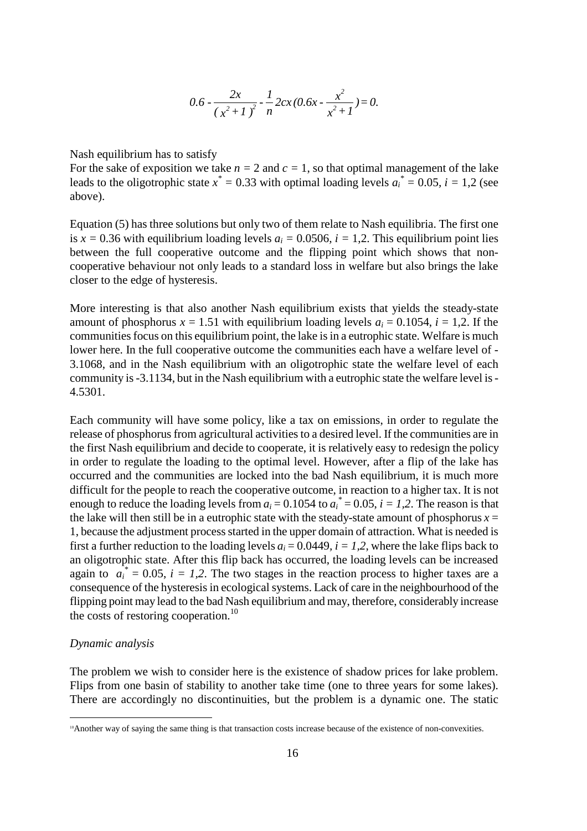$$
0.6 - \frac{2x}{\left(x^2 + 1\right)^2} - \frac{1}{n} 2cx \left(0.6x - \frac{x^2}{x^2 + 1}\right) = 0.
$$

Nash equilibrium has to satisfy

For the sake of exposition we take  $n = 2$  and  $c = 1$ , so that optimal management of the lake leads to the oligotrophic state  $x^* = 0.33$  with optimal loading levels  $a_i^* = 0.05$ ,  $i = 1.2$  (see above).

Equation (5) has three solutions but only two of them relate to Nash equilibria. The first one is  $x = 0.36$  with equilibrium loading levels  $a_i = 0.0506$ ,  $i = 1,2$ . This equilibrium point lies between the full cooperative outcome and the flipping point which shows that noncooperative behaviour not only leads to a standard loss in welfare but also brings the lake closer to the edge of hysteresis.

More interesting is that also another Nash equilibrium exists that yields the steady-state amount of phosphorus  $x = 1.51$  with equilibrium loading levels  $a_i = 0.1054$ ,  $i = 1.2$ . If the communities focus on this equilibrium point, the lake is in a eutrophic state. Welfare is much lower here. In the full cooperative outcome the communities each have a welfare level of *-* 3.1068, and in the Nash equilibrium with an oligotrophic state the welfare level of each community is-3.1134, but in the Nash equilibrium with a eutrophic state the welfare level is-4.5301.

Each community will have some policy, like a tax on emissions, in order to regulate the release of phosphorus from agricultural activities to a desired level. If the communities are in the first Nash equilibrium and decide to cooperate, it is relatively easy to redesign the policy in order to regulate the loading to the optimal level. However, after a flip of the lake has occurred and the communities are locked into the bad Nash equilibrium, it is much more difficult for the people to reach the cooperative outcome, in reaction to a higher tax. It is not enough to reduce the loading levels from  $a_i = 0.1054$  to  $a_i^* = 0.05$ ,  $i = 1.2$ . The reason is that the lake will then still be in a eutrophic state with the steady-state amount of phosphorus  $x =$ 1, because the adjustment process started in the upper domain of attraction. What is needed is first a further reduction to the loading levels  $a_i = 0.0449$ ,  $i = 1, 2$ , where the lake flips back to an oligotrophic state. After this flip back has occurred, the loading levels can be increased again to  $a_i^* = 0.05$ ,  $i = 1,2$ . The two stages in the reaction process to higher taxes are a consequence of the hysteresis in ecological systems. Lack of care in the neighbourhood of the flipping point may lead to the bad Nash equilibrium and may, therefore, considerably increase the costs of restoring cooperation.<sup>10</sup>

## *Dynamic analysis*

 $\overline{a}$ 

The problem we wish to consider here is the existence of shadow prices for lake problem. Flips from one basin of stability to another take time (one to three years for some lakes). There are accordingly no discontinuities, but the problem is a dynamic one. The static

<sup>10</sup>Another way of saying the same thing is that transaction costs increase because of the existence of non-convexities.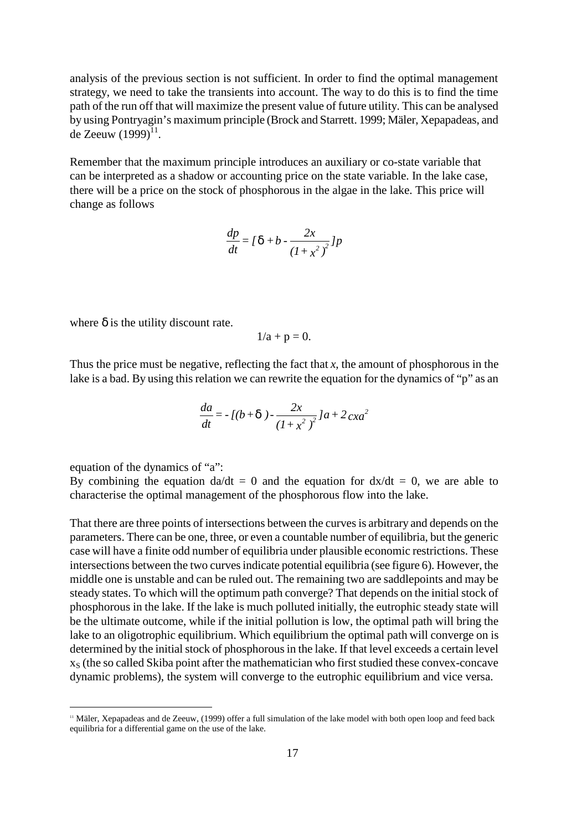analysis of the previous section is not sufficient. In order to find the optimal management strategy, we need to take the transients into account. The way to do this is to find the time path of the run off that will maximize the present value of future utility. This can be analysed by using Pontryagin's maximum principle (Brock and Starrett. 1999; Mäler, Xepapadeas, and de Zeeuw  $(1999)^{11}$ .

Remember that the maximum principle introduces an auxiliary or co-state variable that can be interpreted as a shadow or accounting price on the state variable. In the lake case, there will be a price on the stock of phosphorous in the algae in the lake. This price will change as follows

$$
\frac{dp}{dt} = \left[ d + b - \frac{2x}{\left(1 + x^2\right)^2} \right] p
$$

where  $\delta$  is the utility discount rate.

$$
1/a + p = 0.
$$

Thus the price must be negative, reflecting the fact that  $x$ , the amount of phosphorous in the lake is a bad. By using this relation we can rewrite the equation for the dynamics of "p" as an

$$
\frac{da}{dt} = -[(b+\mathbf{d}) - \frac{2x}{(1+x^2)^2}]a + 2cx^2
$$

equation of the dynamics of "a":

 $\overline{a}$ 

By combining the equation  $da/dt = 0$  and the equation for  $dx/dt = 0$ , we are able to characterise the optimal management of the phosphorous flow into the lake.

That there are three points of intersections between the curves is arbitrary and depends on the parameters. There can be one, three, or even a countable number of equilibria, but the generic case will have a finite odd number of equilibria under plausible economic restrictions. These intersections between the two curves indicate potential equilibria (see figure 6). However, the middle one is unstable and can be ruled out. The remaining two are saddlepoints and may be steady states. To which will the optimum path converge? That depends on the initial stock of phosphorous in the lake. If the lake is much polluted initially, the eutrophic steady state will be the ultimate outcome, while if the initial pollution is low, the optimal path will bring the lake to an oligotrophic equilibrium. Which equilibrium the optimal path will converge on is determined by the initial stock of phosphorous in the lake. If that level exceeds a certain level  $x<sub>S</sub>$  (the so called Skiba point after the mathematician who first studied these convex-concave dynamic problems), the system will converge to the eutrophic equilibrium and vice versa.

<sup>11</sup> Mäler, Xepapadeas and de Zeeuw, (1999) offer a full simulation of the lake model with both open loop and feed back equilibria for a differential game on the use of the lake.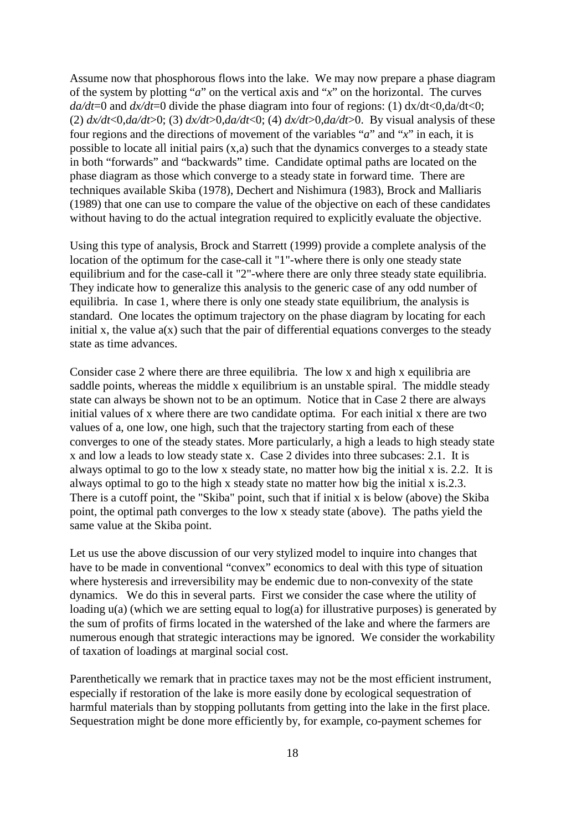Assume now that phosphorous flows into the lake. We may now prepare a phase diagram of the system by plotting "*a*" on the vertical axis and "*x*" on the horizontal. The curves  $da/dt=0$  and  $dx/dt=0$  divide the phase diagram into four of regions: (1)  $dx/dt<0$ ,  $da/dt<0$ ; (2)  $dx/dt < 0$ , $da/dt > 0$ ; (3)  $dx/dt > 0$ , $da/dt < 0$ ; (4)  $dx/dt > 0$ , $da/dt > 0$ . By visual analysis of these four regions and the directions of movement of the variables "*a*" and "*x*" in each, it is possible to locate all initial pairs (x,a) such that the dynamics converges to a steady state in both "forwards" and "backwards" time. Candidate optimal paths are located on the phase diagram as those which converge to a steady state in forward time. There are techniques available Skiba (1978), Dechert and Nishimura (1983), Brock and Malliaris (1989) that one can use to compare the value of the objective on each of these candidates without having to do the actual integration required to explicitly evaluate the objective.

Using this type of analysis, Brock and Starrett (1999) provide a complete analysis of the location of the optimum for the case-call it "1"-where there is only one steady state equilibrium and for the case-call it "2"-where there are only three steady state equilibria. They indicate how to generalize this analysis to the generic case of any odd number of equilibria. In case 1, where there is only one steady state equilibrium, the analysis is standard. One locates the optimum trajectory on the phase diagram by locating for each initial x, the value  $a(x)$  such that the pair of differential equations converges to the steady state as time advances.

Consider case 2 where there are three equilibria. The low x and high x equilibria are saddle points, whereas the middle x equilibrium is an unstable spiral. The middle steady state can always be shown not to be an optimum. Notice that in Case 2 there are always initial values of x where there are two candidate optima. For each initial x there are two values of a, one low, one high, such that the trajectory starting from each of these converges to one of the steady states. More particularly, a high a leads to high steady state x and low a leads to low steady state x. Case 2 divides into three subcases: 2.1. It is always optimal to go to the low x steady state, no matter how big the initial x is. 2.2. It is always optimal to go to the high x steady state no matter how big the initial x is.2.3. There is a cutoff point, the "Skiba" point, such that if initial x is below (above) the Skiba point, the optimal path converges to the low x steady state (above). The paths yield the same value at the Skiba point.

Let us use the above discussion of our very stylized model to inquire into changes that have to be made in conventional "convex" economics to deal with this type of situation where hysteresis and irreversibility may be endemic due to non-convexity of the state dynamics. We do this in several parts. First we consider the case where the utility of loading  $u(a)$  (which we are setting equal to  $log(a)$  for illustrative purposes) is generated by the sum of profits of firms located in the watershed of the lake and where the farmers are numerous enough that strategic interactions may be ignored. We consider the workability of taxation of loadings at marginal social cost.

Parenthetically we remark that in practice taxes may not be the most efficient instrument, especially if restoration of the lake is more easily done by ecological sequestration of harmful materials than by stopping pollutants from getting into the lake in the first place. Sequestration might be done more efficiently by, for example, co-payment schemes for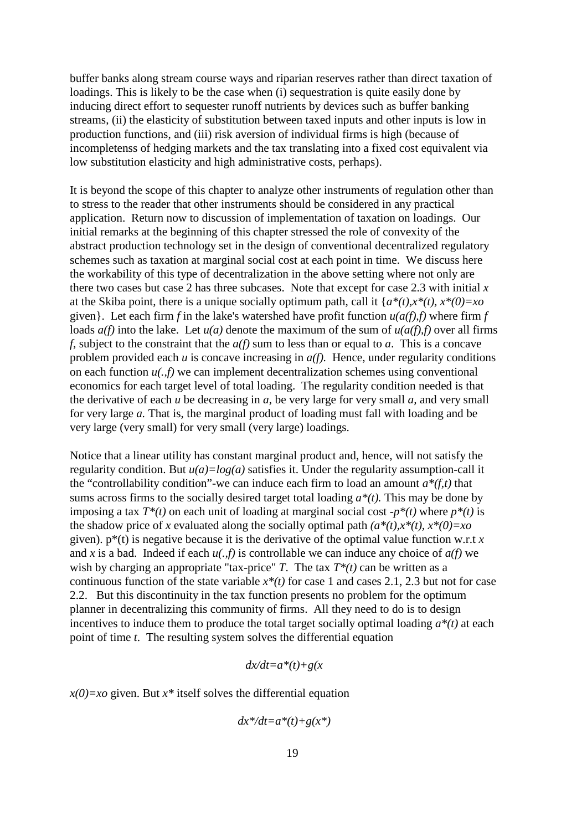buffer banks along stream course ways and riparian reserves rather than direct taxation of loadings. This is likely to be the case when (i) sequestration is quite easily done by inducing direct effort to sequester runoff nutrients by devices such as buffer banking streams, (ii) the elasticity of substitution between taxed inputs and other inputs is low in production functions, and (iii) risk aversion of individual firms is high (because of incompletenss of hedging markets and the tax translating into a fixed cost equivalent via low substitution elasticity and high administrative costs, perhaps).

It is beyond the scope of this chapter to analyze other instruments of regulation other than to stress to the reader that other instruments should be considered in any practical application. Return now to discussion of implementation of taxation on loadings. Our initial remarks at the beginning of this chapter stressed the role of convexity of the abstract production technology set in the design of conventional decentralized regulatory schemes such as taxation at marginal social cost at each point in time. We discuss here the workability of this type of decentralization in the above setting where not only are there two cases but case 2 has three subcases. Note that except for case 2.3 with initial  $x$ at the Skiba point, there is a unique socially optimum path, call it  $\{a^*(t), x^*(t), x^*(0)=x\}$ given}. Let each firm *f* in the lake's watershed have profit function  $u(a(f), f)$  where firm *f* loads  $a(f)$  into the lake. Let  $u(a)$  denote the maximum of the sum of  $u(a(f), f)$  over all firms *f*, subject to the constraint that the *a(f)* sum to less than or equal to *a*. This is a concave problem provided each *u* is concave increasing in *a(f)*. Hence, under regularity conditions on each function *u(.,f)* we can implement decentralization schemes using conventional economics for each target level of total loading. The regularity condition needed is that the derivative of each *u* be decreasing in *a*, be very large for very small *a,* and very small for very large *a.* That is, the marginal product of loading must fall with loading and be very large (very small) for very small (very large) loadings.

Notice that a linear utility has constant marginal product and, hence, will not satisfy the regularity condition. But *u(a)=log(a)* satisfies it. Under the regularity assumption-call it the "controllability condition"-we can induce each firm to load an amount  $a^*(f,t)$  that sums across firms to the socially desired target total loading  $a^*(t)$ . This may be done by imposing a tax  $T^*(t)$  on each unit of loading at marginal social cost  $-p^*(t)$  where  $p^*(t)$  is the shadow price of *x* evaluated along the socially optimal path  $(a^*(t), x^*(t), x^*(0)=xo$ given).  $p^*(t)$  is negative because it is the derivative of the optimal value function w.r.t *x* and *x* is a bad. Indeed if each *u(.,f)* is controllable we can induce any choice of *a(f)* we wish by charging an appropriate "tax-price" *T*. The tax *T\*(t)* can be written as a continuous function of the state variable  $x^*(t)$  for case 1 and cases 2.1, 2.3 but not for case 2.2. But this discontinuity in the tax function presents no problem for the optimum planner in decentralizing this community of firms. All they need to do is to design incentives to induce them to produce the total target socially optimal loading  $a^*(t)$  at each point of time *t*. The resulting system solves the differential equation

$$
dx/dt = a^*(t) + g(x)
$$

 $x(0)=x_0$  given. But  $x^*$  itself solves the differential equation

$$
dx^*/dt = a^*(t) + g(x^*)
$$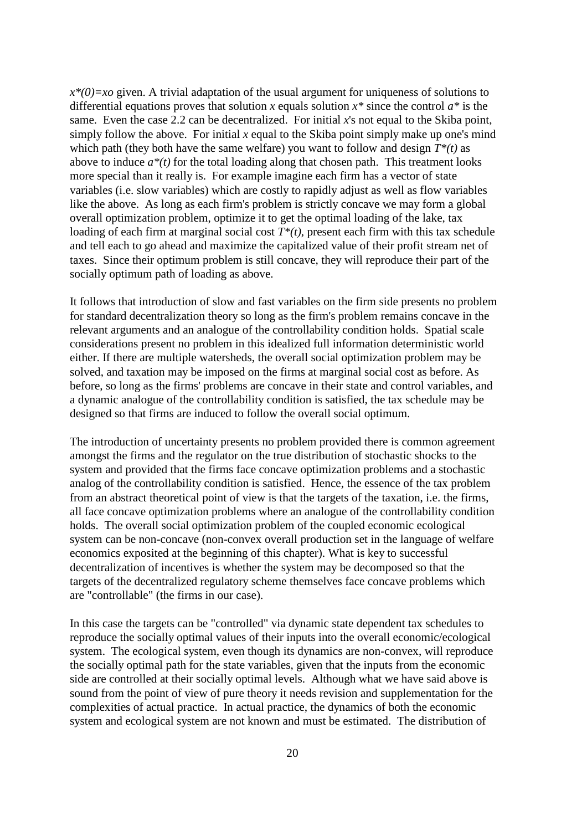*x\*(0)=xo* given. A trivial adaptation of the usual argument for uniqueness of solutions to differential equations proves that solution *x* equals solution  $x^*$  since the control  $a^*$  is the same. Even the case 2.2 can be decentralized. For initial *x*'s not equal to the Skiba point, simply follow the above. For initial *x* equal to the Skiba point simply make up one's mind which path (they both have the same welfare) you want to follow and design  $T^*(t)$  as above to induce  $a^*(t)$  for the total loading along that chosen path. This treatment looks more special than it really is. For example imagine each firm has a vector of state variables (i.e. slow variables) which are costly to rapidly adjust as well as flow variables like the above. As long as each firm's problem is strictly concave we may form a global overall optimization problem, optimize it to get the optimal loading of the lake, tax loading of each firm at marginal social cost  $T^*(t)$ , present each firm with this tax schedule and tell each to go ahead and maximize the capitalized value of their profit stream net of taxes. Since their optimum problem is still concave, they will reproduce their part of the socially optimum path of loading as above.

It follows that introduction of slow and fast variables on the firm side presents no problem for standard decentralization theory so long as the firm's problem remains concave in the relevant arguments and an analogue of the controllability condition holds. Spatial scale considerations present no problem in this idealized full information deterministic world either. If there are multiple watersheds, the overall social optimization problem may be solved, and taxation may be imposed on the firms at marginal social cost as before. As before, so long as the firms' problems are concave in their state and control variables, and a dynamic analogue of the controllability condition is satisfied, the tax schedule may be designed so that firms are induced to follow the overall social optimum.

The introduction of uncertainty presents no problem provided there is common agreement amongst the firms and the regulator on the true distribution of stochastic shocks to the system and provided that the firms face concave optimization problems and a stochastic analog of the controllability condition is satisfied. Hence, the essence of the tax problem from an abstract theoretical point of view is that the targets of the taxation, i.e. the firms, all face concave optimization problems where an analogue of the controllability condition holds. The overall social optimization problem of the coupled economic ecological system can be non-concave (non-convex overall production set in the language of welfare economics exposited at the beginning of this chapter). What is key to successful decentralization of incentives is whether the system may be decomposed so that the targets of the decentralized regulatory scheme themselves face concave problems which are "controllable" (the firms in our case).

In this case the targets can be "controlled" via dynamic state dependent tax schedules to reproduce the socially optimal values of their inputs into the overall economic/ecological system. The ecological system, even though its dynamics are non-convex, will reproduce the socially optimal path for the state variables, given that the inputs from the economic side are controlled at their socially optimal levels. Although what we have said above is sound from the point of view of pure theory it needs revision and supplementation for the complexities of actual practice. In actual practice, the dynamics of both the economic system and ecological system are not known and must be estimated. The distribution of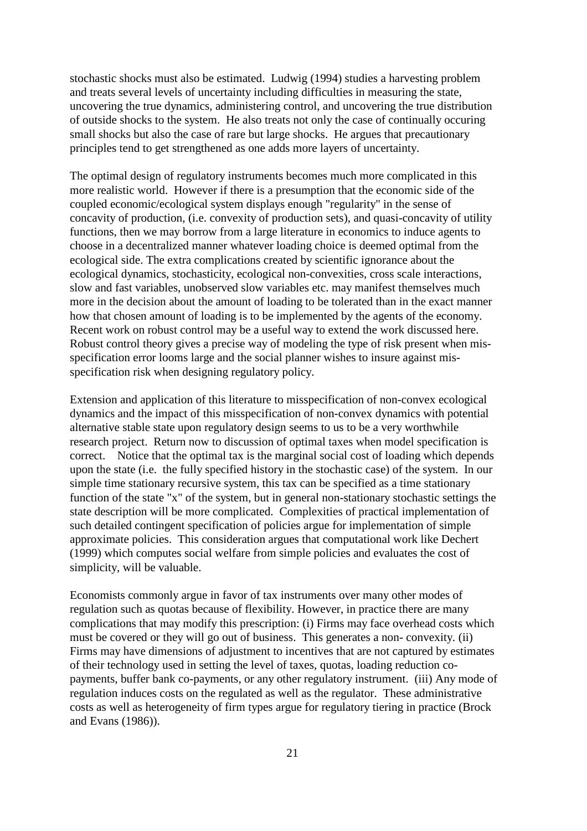stochastic shocks must also be estimated. Ludwig (1994) studies a harvesting problem and treats several levels of uncertainty including difficulties in measuring the state, uncovering the true dynamics, administering control, and uncovering the true distribution of outside shocks to the system. He also treats not only the case of continually occuring small shocks but also the case of rare but large shocks. He argues that precautionary principles tend to get strengthened as one adds more layers of uncertainty.

The optimal design of regulatory instruments becomes much more complicated in this more realistic world. However if there is a presumption that the economic side of the coupled economic/ecological system displays enough "regularity" in the sense of concavity of production, (i.e. convexity of production sets), and quasi-concavity of utility functions, then we may borrow from a large literature in economics to induce agents to choose in a decentralized manner whatever loading choice is deemed optimal from the ecological side. The extra complications created by scientific ignorance about the ecological dynamics, stochasticity, ecological non-convexities, cross scale interactions, slow and fast variables, unobserved slow variables etc. may manifest themselves much more in the decision about the amount of loading to be tolerated than in the exact manner how that chosen amount of loading is to be implemented by the agents of the economy. Recent work on robust control may be a useful way to extend the work discussed here. Robust control theory gives a precise way of modeling the type of risk present when misspecification error looms large and the social planner wishes to insure against misspecification risk when designing regulatory policy.

Extension and application of this literature to misspecification of non-convex ecological dynamics and the impact of this misspecification of non-convex dynamics with potential alternative stable state upon regulatory design seems to us to be a very worthwhile research project. Return now to discussion of optimal taxes when model specification is correct. Notice that the optimal tax is the marginal social cost of loading which depends upon the state (i.e. the fully specified history in the stochastic case) of the system. In our simple time stationary recursive system, this tax can be specified as a time stationary function of the state "x" of the system, but in general non-stationary stochastic settings the state description will be more complicated. Complexities of practical implementation of such detailed contingent specification of policies argue for implementation of simple approximate policies. This consideration argues that computational work like Dechert (1999) which computes social welfare from simple policies and evaluates the cost of simplicity, will be valuable.

Economists commonly argue in favor of tax instruments over many other modes of regulation such as quotas because of flexibility. However, in practice there are many complications that may modify this prescription: (i) Firms may face overhead costs which must be covered or they will go out of business. This generates a non*-* convexity*.* (ii) Firms may have dimensions of adjustment to incentives that are not captured by estimates of their technology used in setting the level of taxes, quotas, loading reduction copayments, buffer bank co-payments, or any other regulatory instrument. (iii) Any mode of regulation induces costs on the regulated as well as the regulator. These administrative costs as well as heterogeneity of firm types argue for regulatory tiering in practice (Brock and Evans (1986)).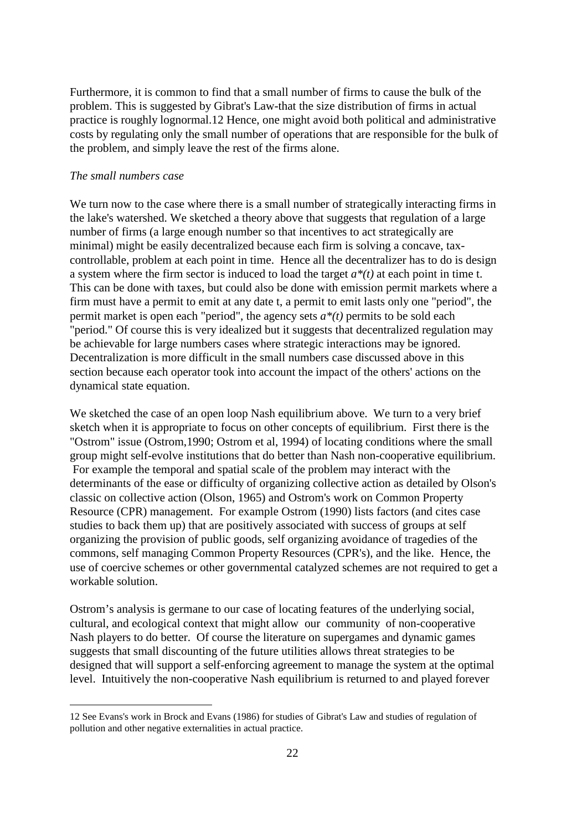Furthermore, it is common to find that a small number of firms to cause the bulk of the problem. This is suggested by Gibrat's Law-that the size distribution of firms in actual practice is roughly lognormal.12 Hence, one might avoid both political and administrative costs by regulating only the small number of operations that are responsible for the bulk of the problem, and simply leave the rest of the firms alone.

#### *The small numbers case*

 $\overline{a}$ 

We turn now to the case where there is a small number of strategically interacting firms in the lake's watershed. We sketched a theory above that suggests that regulation of a large number of firms (a large enough number so that incentives to act strategically are minimal) might be easily decentralized because each firm is solving a concave, taxcontrollable, problem at each point in time. Hence all the decentralizer has to do is design a system where the firm sector is induced to load the target *a\*(t)* at each point in time t. This can be done with taxes, but could also be done with emission permit markets where a firm must have a permit to emit at any date t, a permit to emit lasts only one "period", the permit market is open each "period", the agency sets *a\*(t)* permits to be sold each "period." Of course this is very idealized but it suggests that decentralized regulation may be achievable for large numbers cases where strategic interactions may be ignored. Decentralization is more difficult in the small numbers case discussed above in this section because each operator took into account the impact of the others' actions on the dynamical state equation.

We sketched the case of an open loop Nash equilibrium above. We turn to a very brief sketch when it is appropriate to focus on other concepts of equilibrium. First there is the "Ostrom" issue (Ostrom,1990; Ostrom et al, 1994) of locating conditions where the small group might self-evolve institutions that do better than Nash non-cooperative equilibrium. For example the temporal and spatial scale of the problem may interact with the determinants of the ease or difficulty of organizing collective action as detailed by Olson's classic on collective action (Olson, 1965) and Ostrom's work on Common Property Resource (CPR) management. For example Ostrom (1990) lists factors (and cites case studies to back them up) that are positively associated with success of groups at self organizing the provision of public goods, self organizing avoidance of tragedies of the commons, self managing Common Property Resources (CPR's), and the like. Hence, the use of coercive schemes or other governmental catalyzed schemes are not required to get a workable solution.

Ostrom's analysis is germane to our case of locating features of the underlying social, cultural, and ecological context that might allow our community of non-cooperative Nash players to do better. Of course the literature on supergames and dynamic games suggests that small discounting of the future utilities allows threat strategies to be designed that will support a self-enforcing agreement to manage the system at the optimal level. Intuitively the non-cooperative Nash equilibrium is returned to and played forever

<sup>12</sup> See Evans's work in Brock and Evans (1986) for studies of Gibrat's Law and studies of regulation of pollution and other negative externalities in actual practice.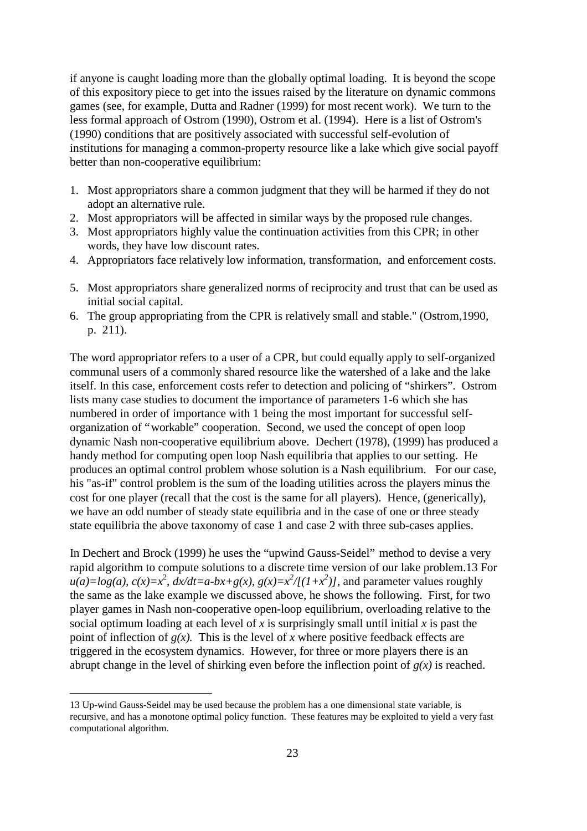if anyone is caught loading more than the globally optimal loading. It is beyond the scope of this expository piece to get into the issues raised by the literature on dynamic commons games (see, for example, Dutta and Radner (1999) for most recent work). We turn to the less formal approach of Ostrom (1990), Ostrom et al. (1994). Here is a list of Ostrom's (1990) conditions that are positively associated with successful self-evolution of institutions for managing a common-property resource like a lake which give social payoff better than non-cooperative equilibrium:

- 1. Most appropriators share a common judgment that they will be harmed if they do not adopt an alternative rule.
- 2. Most appropriators will be affected in similar ways by the proposed rule changes.
- 3. Most appropriators highly value the continuation activities from this CPR; in other words, they have low discount rates.
- 4. Appropriators face relatively low information, transformation, and enforcement costs.
- 5. Most appropriators share generalized norms of reciprocity and trust that can be used as initial social capital.
- 6. The group appropriating from the CPR is relatively small and stable." (Ostrom,1990, p. 211).

The word appropriator refers to a user of a CPR, but could equally apply to self-organized communal users of a commonly shared resource like the watershed of a lake and the lake itself. In this case, enforcement costs refer to detection and policing of "shirkers". Ostrom lists many case studies to document the importance of parameters 1-6 which she has numbered in order of importance with 1 being the most important for successful selforganization of "workable" cooperation. Second, we used the concept of open loop dynamic Nash non-cooperative equilibrium above. Dechert (1978), (1999) has produced a handy method for computing open loop Nash equilibria that applies to our setting. He produces an optimal control problem whose solution is a Nash equilibrium. For our case, his "as-if" control problem is the sum of the loading utilities across the players minus the cost for one player (recall that the cost is the same for all players). Hence, (generically), we have an odd number of steady state equilibria and in the case of one or three steady state equilibria the above taxonomy of case 1 and case 2 with three sub-cases applies.

In Dechert and Brock (1999) he uses the "upwind Gauss-Seidel" method to devise a very rapid algorithm to compute solutions to a discrete time version of our lake problem.13 For  $u(a)=log(a), c(x)=x^2, dx/dt=a-bx+g(x), g(x)=x^2/[(1+x^2)],$  and parameter values roughly the same as the lake example we discussed above, he shows the following. First, for two player games in Nash non-cooperative open-loop equilibrium, overloading relative to the social optimum loading at each level of  $x$  is surprisingly small until initial  $x$  is past the point of inflection of  $g(x)$ . This is the level of *x* where positive feedback effects are triggered in the ecosystem dynamics. However, for three or more players there is an abrupt change in the level of shirking even before the inflection point of  $g(x)$  is reached.

 $\overline{a}$ 

<sup>13</sup> Up-wind Gauss-Seidel may be used because the problem has a one dimensional state variable, is recursive, and has a monotone optimal policy function. These features may be exploited to yield a very fast computational algorithm.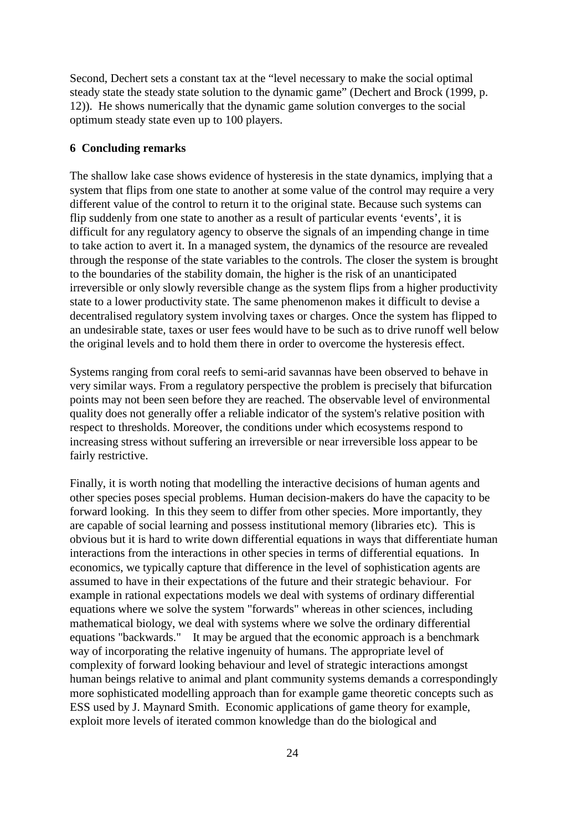Second, Dechert sets a constant tax at the "level necessary to make the social optimal steady state the steady state solution to the dynamic game" (Dechert and Brock (1999, p. 12)). He shows numerically that the dynamic game solution converges to the social optimum steady state even up to 100 players.

# **6 Concluding remarks**

The shallow lake case shows evidence of hysteresis in the state dynamics, implying that a system that flips from one state to another at some value of the control may require a very different value of the control to return it to the original state. Because such systems can flip suddenly from one state to another as a result of particular events 'events', it is difficult for any regulatory agency to observe the signals of an impending change in time to take action to avert it. In a managed system, the dynamics of the resource are revealed through the response of the state variables to the controls. The closer the system is brought to the boundaries of the stability domain, the higher is the risk of an unanticipated irreversible or only slowly reversible change as the system flips from a higher productivity state to a lower productivity state. The same phenomenon makes it difficult to devise a decentralised regulatory system involving taxes or charges. Once the system has flipped to an undesirable state, taxes or user fees would have to be such as to drive runoff well below the original levels and to hold them there in order to overcome the hysteresis effect.

Systems ranging from coral reefs to semi-arid savannas have been observed to behave in very similar ways. From a regulatory perspective the problem is precisely that bifurcation points may not been seen before they are reached. The observable level of environmental quality does not generally offer a reliable indicator of the system's relative position with respect to thresholds. Moreover, the conditions under which ecosystems respond to increasing stress without suffering an irreversible or near irreversible loss appear to be fairly restrictive.

Finally, it is worth noting that modelling the interactive decisions of human agents and other species poses special problems. Human decision-makers do have the capacity to be forward looking. In this they seem to differ from other species. More importantly, they are capable of social learning and possess institutional memory (libraries etc). This is obvious but it is hard to write down differential equations in ways that differentiate human interactions from the interactions in other species in terms of differential equations. In economics, we typically capture that difference in the level of sophistication agents are assumed to have in their expectations of the future and their strategic behaviour. For example in rational expectations models we deal with systems of ordinary differential equations where we solve the system "forwards" whereas in other sciences, including mathematical biology, we deal with systems where we solve the ordinary differential equations "backwards." It may be argued that the economic approach is a benchmark way of incorporating the relative ingenuity of humans. The appropriate level of complexity of forward looking behaviour and level of strategic interactions amongst human beings relative to animal and plant community systems demands a correspondingly more sophisticated modelling approach than for example game theoretic concepts such as ESS used by J. Maynard Smith. Economic applications of game theory for example, exploit more levels of iterated common knowledge than do the biological and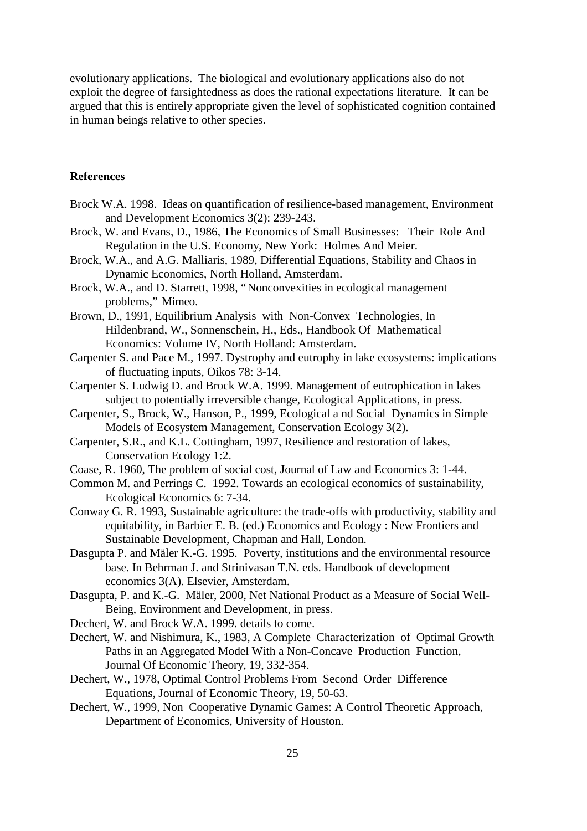evolutionary applications. The biological and evolutionary applications also do not exploit the degree of farsightedness as does the rational expectations literature. It can be argued that this is entirely appropriate given the level of sophisticated cognition contained in human beings relative to other species.

## **References**

- Brock W.A. 1998. Ideas on quantification of resilience-based management, Environment and Development Economics 3(2): 239-243.
- Brock, W. and Evans, D., 1986, The Economics of Small Businesses: Their Role And Regulation in the U.S. Economy, New York: Holmes And Meier.
- Brock, W.A., and A.G. Malliaris, 1989, Differential Equations, Stability and Chaos in Dynamic Economics, North Holland, Amsterdam.
- Brock, W.A., and D. Starrett, 1998, "Nonconvexities in ecological management problems," Mimeo.
- Brown, D., 1991, Equilibrium Analysis with Non-Convex Technologies, In Hildenbrand, W., Sonnenschein, H., Eds., Handbook Of Mathematical Economics: Volume IV, North Holland: Amsterdam.
- Carpenter S. and Pace M., 1997. Dystrophy and eutrophy in lake ecosystems: implications of fluctuating inputs, Oikos 78: 3-14.
- Carpenter S. Ludwig D. and Brock W.A. 1999. Management of eutrophication in lakes subject to potentially irreversible change, Ecological Applications, in press.
- Carpenter, S., Brock, W., Hanson, P., 1999, Ecological a nd Social Dynamics in Simple Models of Ecosystem Management, Conservation Ecology 3(2).
- Carpenter, S.R., and K.L. Cottingham, 1997, Resilience and restoration of lakes, Conservation Ecology 1:2.
- Coase, R. 1960, The problem of social cost, Journal of Law and Economics 3: 1-44.
- Common M. and Perrings C. 1992. Towards an ecological economics of sustainability, Ecological Economics 6: 7-34.
- Conway G. R. 1993, Sustainable agriculture: the trade-offs with productivity, stability and equitability, in Barbier E. B. (ed.) Economics and Ecology : New Frontiers and Sustainable Development, Chapman and Hall, London.
- Dasgupta P. and Mäler K.-G. 1995. Poverty, institutions and the environmental resource base. In Behrman J. and Strinivasan T.N. eds. Handbook of development economics 3(A). Elsevier, Amsterdam.
- Dasgupta, P. and K.-G. Mäler, 2000, Net National Product as a Measure of Social Well-Being, Environment and Development, in press.
- Dechert, W. and Brock W.A. 1999. details to come.
- Dechert, W. and Nishimura, K., 1983, A Complete Characterization of Optimal Growth Paths in an Aggregated Model With a Non-Concave Production Function, Journal Of Economic Theory, 19, 332-354.
- Dechert, W., 1978, Optimal Control Problems From Second Order Difference Equations, Journal of Economic Theory, 19, 50-63.
- Dechert, W., 1999, Non Cooperative Dynamic Games: A Control Theoretic Approach, Department of Economics, University of Houston.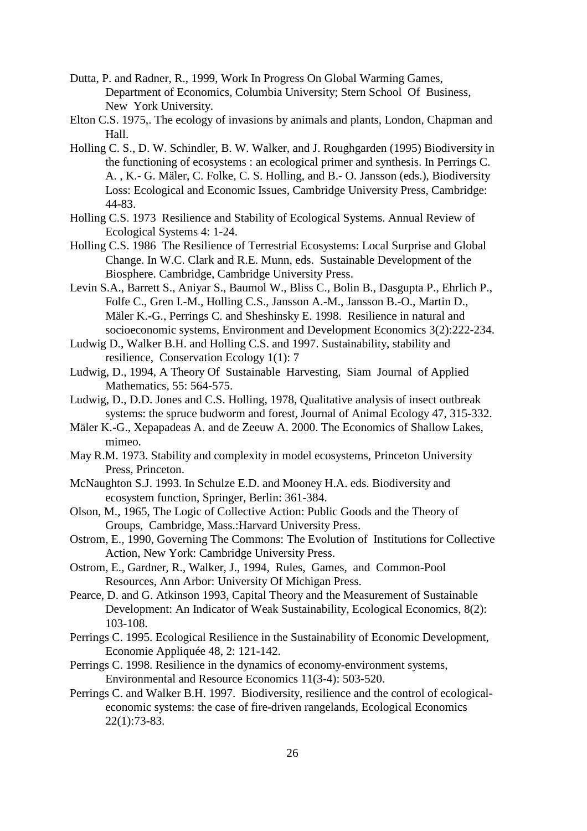- Dutta, P. and Radner, R., 1999, Work In Progress On Global Warming Games, Department of Economics, Columbia University; Stern School Of Business, New York University.
- Elton C.S. 1975,. The ecology of invasions by animals and plants, London, Chapman and Hall.
- Holling C. S., D. W. Schindler, B. W. Walker, and J. Roughgarden (1995) Biodiversity in the functioning of ecosystems : an ecological primer and synthesis. In Perrings C. A. , K.- G. Mäler, C. Folke, C. S. Holling, and B.- O. Jansson (eds.), Biodiversity Loss: Ecological and Economic Issues, Cambridge University Press, Cambridge: 44-83.
- Holling C.S. 1973 Resilience and Stability of Ecological Systems. Annual Review of Ecological Systems 4: 1-24.
- Holling C.S. 1986 The Resilience of Terrestrial Ecosystems: Local Surprise and Global Change. In W.C. Clark and R.E. Munn, eds. Sustainable Development of the Biosphere. Cambridge, Cambridge University Press.
- Levin S.A., Barrett S., Aniyar S., Baumol W., Bliss C., Bolin B., Dasgupta P., Ehrlich P., Folfe C., Gren I.-M., Holling C.S., Jansson A.-M., Jansson B.-O., Martin D., Mäler K.-G., Perrings C. and Sheshinsky E. 1998. Resilience in natural and socioeconomic systems, Environment and Development Economics 3(2):222-234.
- Ludwig D., Walker B.H. and Holling C.S. and 1997. Sustainability, stability and resilience, Conservation Ecology 1(1): 7
- Ludwig, D., 1994, A Theory Of Sustainable Harvesting, Siam Journal of Applied Mathematics, 55: 564-575.
- Ludwig, D., D.D. Jones and C.S. Holling, 1978, Qualitative analysis of insect outbreak systems: the spruce budworm and forest, Journal of Animal Ecology 47, 315-332.
- Mäler K.-G., Xepapadeas A. and de Zeeuw A. 2000. The Economics of Shallow Lakes, mimeo.
- May R.M. 1973. Stability and complexity in model ecosystems, Princeton University Press, Princeton.
- McNaughton S.J. 1993. In Schulze E.D. and Mooney H.A. eds. Biodiversity and ecosystem function, Springer, Berlin: 361-384.
- Olson, M., 1965, The Logic of Collective Action: Public Goods and the Theory of Groups, Cambridge, Mass.:Harvard University Press.
- Ostrom, E., 1990, Governing The Commons: The Evolution of Institutions for Collective Action, New York: Cambridge University Press.
- Ostrom, E., Gardner, R., Walker, J., 1994, Rules, Games, and Common-Pool Resources, Ann Arbor: University Of Michigan Press.
- Pearce, D. and G. Atkinson 1993, Capital Theory and the Measurement of Sustainable Development: An Indicator of Weak Sustainability, Ecological Economics, 8(2): 103-108.
- Perrings C. 1995. Ecological Resilience in the Sustainability of Economic Development, Economie Appliquée 48, 2: 121-142.
- Perrings C. 1998. Resilience in the dynamics of economy-environment systems, Environmental and Resource Economics 11(3-4): 503-520.
- Perrings C. and Walker B.H. 1997. Biodiversity, resilience and the control of ecologicaleconomic systems: the case of fire-driven rangelands, Ecological Economics 22(1):73-83.